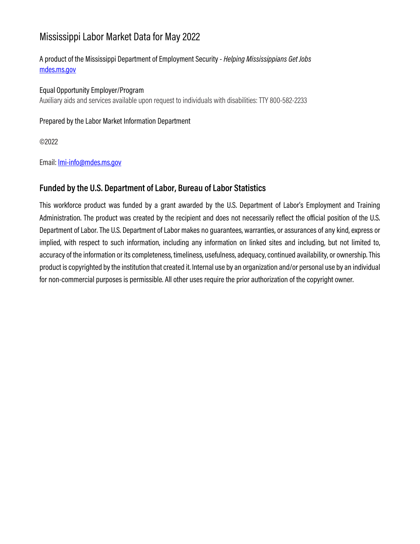# Mississippi Labor Market Data for May 2022

# A product of the Mississippi Department of Employment Security - *Helping Mississippians Get Jobs*

Equal Opportunity Employer/Program Auxiliary aids and services available upon request to individuals with disabilities: TTY 800-582-2233

Prepared by the Labor Market Information Department

©2022

Email: [lmi-info@mdes.ms.gov](mailto:lmi-info@mdes.ms.gov)

### **Funded by the U.S. Department of Labor, Bureau of Labor Statistics**

This workforce product was funded by a grant awarded by the U.S. Department of Labor's Employment and Training Administration. The product was created by the recipient and does not necessarily reflect the official position of the U.S. Department of Labor. The U.S. Department of Labor makes no guarantees, warranties, or assurances of any kind, express or implied, with respect to such information, including any information on linked sites and including, but not limited to, accuracy of the information or its completeness, timeliness, usefulness, adequacy, continued availability, or ownership. This product is copyrighted by the institution that created it. Internal use by an organization and/or personal use by an individual for non-commercial purposes is permissible. All other uses require the prior authorization of the copyright owner.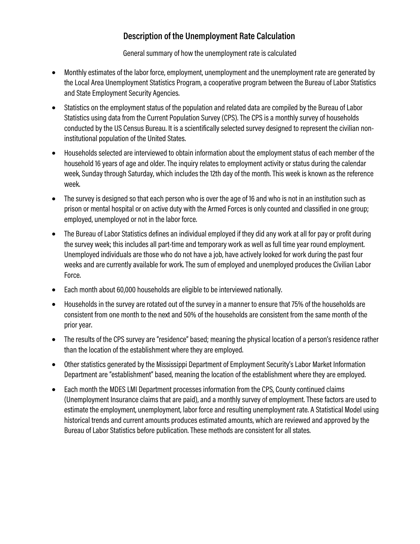### **Description of the Unemployment Rate Calculation**

General summary of how the unemployment rate is calculated

- Monthly estimates of the labor force, employment, unemployment and the unemployment rate are generated by the Local Area Unemployment Statistics Program, a cooperative program between the Bureau of Labor Statistics and State Employment Security Agencies.
- Statistics on the employment status of the population and related data are compiled by the Bureau of Labor Statistics using data from the Current Population Survey (CPS). The CPS is a monthly survey of households conducted by the US Census Bureau. It is a scientifically selected survey designed to represent the civilian noninstitutional population of the United States.
- Households selected are interviewed to obtain information about the employment status of each member of the household 16 years of age and older. The inquiry relates to employment activity or status during the calendar week, Sunday through Saturday, which includes the 12th day of the month. This week is known as the reference week.
- The survey is designed so that each person who is over the age of 16 and who is not in an institution such as prison or mental hospital or on active duty with the Armed Forces is only counted and classified in one group; employed, unemployed or not in the labor force.
- The Bureau of Labor Statistics defines an individual employed if they did any work at all for pay or profit during the survey week; this includes all part-time and temporary work as well as full time year round employment. Unemployed individuals are those who do not have a job, have actively looked for work during the past four weeks and are currently available for work. The sum of employed and unemployed produces the Civilian Labor Force.
- Each month about 60,000 households are eligible to be interviewed nationally.
- Households in the survey are rotated out of the survey in a manner to ensure that 75% of the households are consistent from one month to the next and 50% of the households are consistent from the same month of the prior year.
- The results of the CPS survey are "residence" based; meaning the physical location of a person's residence rather than the location of the establishment where they are employed.
- Other statistics generated by the Mississippi Department of Employment Security's Labor Market Information Department are "establishment" based, meaning the location of the establishment where they are employed.
- Each month the MDES LMI Department processes information from the CPS, County continued claims (Unemployment Insurance claims that are paid), and a monthly survey of employment. These factors are used to estimate the employment, unemployment, labor force and resulting unemployment rate. A Statistical Model using historical trends and current amounts produces estimated amounts, which are reviewed and approved by the Bureau of Labor Statistics before publication. These methods are consistent for all states.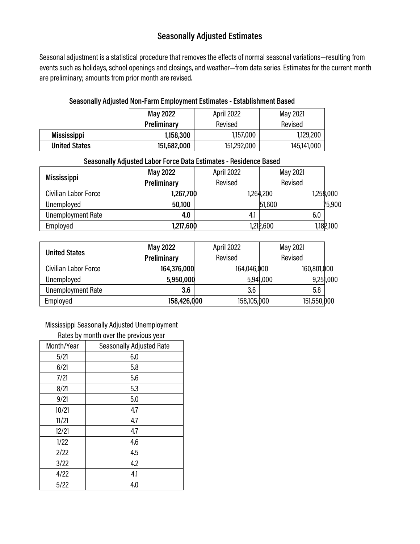# **Seasonally Adjusted Estimates**

Seasonal adjustment is a statistical procedure that removes the effects of normal seasonal variations—resulting from events such as holidays, school openings and closings, and weather—from data series. Estimates for the current month are preliminary; amounts from prior month are revised.

#### **Seasonally Adjusted Non-Farm Employment Estimates - Establishment Based**

|                      | April 2022<br><b>May 2022</b> |             | May 2021    |
|----------------------|-------------------------------|-------------|-------------|
|                      | Preliminary                   | Revised     | Revised     |
| <b>Mississippi</b>   | 1,158,300                     | 1,157,000   | 1,129,200   |
| <b>United States</b> | 151,682,000                   | 151,292,000 | 145,141,000 |

Ξ

| Seasonally Adjusted Labor Force Data Estimates - Residence Based |                        |         |           |           |  |
|------------------------------------------------------------------|------------------------|---------|-----------|-----------|--|
| <b>Mississippi</b>                                               | April 2022<br>May 2022 |         | May 2021  |           |  |
|                                                                  | Preliminary            | Revised | Revised   |           |  |
| Civilian Labor Force                                             | 1,267,700              |         | 1,264,200 | 1,258,000 |  |
| Unemployed                                                       | 50,100                 |         | 51,600    | 75,900    |  |
| <b>Unemployment Rate</b>                                         | 4.0                    | 4.1     |           | 6.0       |  |
| Employed                                                         | 1,217,600              |         | 1,212,600 | 1,182,100 |  |

|                          | <b>May 2022</b>                   | April 2022  | May 2021    |           |
|--------------------------|-----------------------------------|-------------|-------------|-----------|
| <b>United States</b>     | Preliminary<br>Revised<br>Revised |             |             |           |
| Civilian Labor Force     | 164,376,000                       | 164,046,000 | 160,801,000 |           |
| Unemployed               | 5,950,000                         |             | 5,941,000   | 9,251,000 |
| <b>Unemployment Rate</b> | 3.6                               | 3.6         | 5.8         |           |
| Employed                 | 158,426,000                       | 158,105,000 | 151,550,000 |           |

Mississippi Seasonally Adjusted Unemployment

| Rates by month over the previous year         |     |  |  |  |
|-----------------------------------------------|-----|--|--|--|
| <b>Seasonally Adjusted Rate</b><br>Month/Year |     |  |  |  |
| 5/21                                          | 6.0 |  |  |  |
| 6/21                                          | 5.8 |  |  |  |
| 7/21                                          | 5.6 |  |  |  |
| 8/21                                          | 5.3 |  |  |  |
| 9/21                                          | 5.0 |  |  |  |
| 10/21                                         | 4.7 |  |  |  |
| 11/21                                         | 4.7 |  |  |  |
| 12/21                                         | 4.7 |  |  |  |
| 1/22                                          | 4.6 |  |  |  |
| 2/22                                          | 4.5 |  |  |  |
| 3/22                                          | 4.2 |  |  |  |
| 4/22                                          | 4.1 |  |  |  |
| 5/22                                          | 4.0 |  |  |  |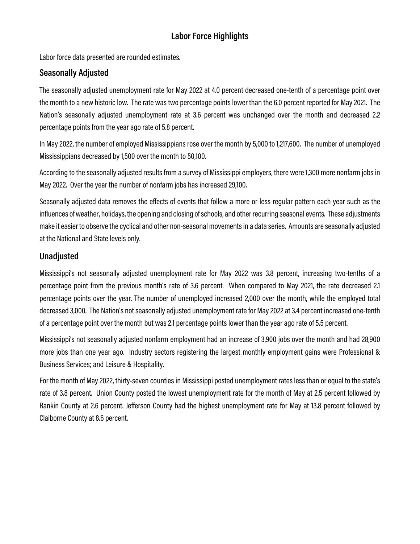# **Labor Force Highlights**

Labor force data presented are rounded estimates.

### **Seasonally Adjusted**

The seasonally adjusted unemployment rate for May 2022 at 4.0 percent decreased one-tenth of a percentage point over the month to a new historic low. The rate was two percentage points lower than the 6.0 percent reported for May 2021. The Nation's seasonally adjusted unemployment rate at 3.6 percent was unchanged over the month and decreased 2.2 percentage points from the year ago rate of 5.8 percent.

In May 2022, the number of employed Mississippians rose over the month by 5,000 to 1,217,600. The number of unemployed Mississippians decreased by 1,500 over the month to 50,100.

According to the seasonally adjusted results from a survey of Mississippi employers, there were 1,300 more nonfarm jobs in May 2022. Over the year the number of nonfarm jobs has increased 29,100.

Seasonally adjusted data removes the effects of events that follow a more or less regular pattern each year such as the influences of weather, holidays, the opening and closing of schools, and other recurring seasonal events. These adjustments make it easier to observe the cyclical and other non-seasonal movements in a data series. Amounts are seasonally adjusted at the National and State levels only.

### **Unadjusted**

Mississippi's not seasonally adjusted unemployment rate for May 2022 was 3.8 percent, increasing two-tenths of a percentage point from the previous month's rate of 3.6 percent. When compared to May 2021, the rate decreased 2.1 percentage points over the year. The number of unemployed increased 2,000 over the month, while the employed total decreased 3,000. The Nation's not seasonally adjusted unemployment rate for May 2022 at 3.4 percent increased one-tenth of a percentage point over the month but was 2.1 percentage points lower than the year ago rate of 5.5 percent.

Mississippi's not seasonally adjusted nonfarm employment had an increase of 3,900 jobs over the month and had 28,900 more jobs than one year ago. Industry sectors registering the largest monthly employment gains were Professional & Business Services; and Leisure & Hospitality.

For the month of May 2022, thirty-seven counties in Mississippi posted unemployment rates less than or equal to the state's rate of 3.8 percent. Union County posted the lowest unemployment rate for the month of May at 2.5 percent followed by Rankin County at 2.6 percent. Jefferson County had the highest unemployment rate for May at 13.8 percent followed by Claiborne County at 8.6 percent.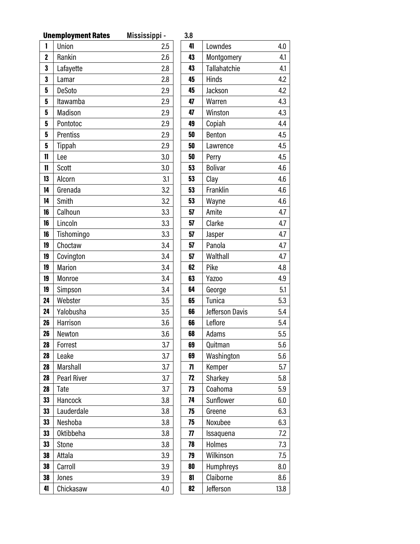|                | <b>Unemployment Rates</b> | Mississippi - | 3.8             |
|----------------|---------------------------|---------------|-----------------|
| 1              | Union                     | 2.5           | 4               |
| $\overline{c}$ | Rankin                    | 2.6           | 4               |
| 3              | Lafayette                 | 2.8           | 4               |
| 3              | Lamar                     | 2.8           | 4               |
| 5              | DeSoto                    | 2.9           | 4               |
| 5              | Itawamba                  | 2.9           | 4               |
| 5              | Madison                   | 2.9           | 4               |
| 5              | Pontotoc                  | 2.9           | 4               |
| 5              | Prentiss                  | 2.9           | 5               |
| 5              | Tippah                    | 2.9           | 5 <sub>l</sub>  |
| 11             | Lee                       | 3.0           | 5 <sub>l</sub>  |
| 11             | Scott                     | 3.0           | 5               |
| 13             | Alcorn                    | 3.1           | 5               |
| 14             | Grenada                   | 3.2           | 5               |
| 14             | Smith                     | 3.2           | 5               |
| 16             | Calhoun                   | 3.3           | $5\phantom{1}$  |
| 16             | Lincoln                   | 3.3           | $5\phantom{.0}$ |
| 16             | Tishomingo                | 3.3           | $5\phantom{.0}$ |
| 19             | Choctaw                   | 3.4           | 5               |
| 19             | Covington                 | 3.4           | 5               |
| 19             | Marion                    | 3.4           | 6               |
| 19             | Monroe                    | 3.4           | 6               |
| 19             | Simpson                   | 3.4           | 6               |
| 24             | Webster                   | 3.5           | 6               |
| 24             | Yalobusha                 | 3.5           | 6               |
| 26             | Harrison                  | 3.6           | 6               |
| 26             | Newton                    | 3.6           | 6               |
| 28             | Forrest                   | 3.7           | 6               |
| 28             | Leake                     | 3.7           | 6               |
| 28             | Marshall                  | 3.7           | 7               |
| 28             | <b>Pearl River</b>        | 3.7           | 7               |
| 28             | Tate                      | 3.7           | 7               |
| 33             | Hancock                   | 3.8           | 7               |
| 33             | Lauderdale                | 3.8           | 7               |
| 33             | Neshoba                   | 3.8           | 7               |
| 33             | <b>Oktibbeha</b>          | 3.8           | 7               |
| 33             | <b>Stone</b>              | 3.8           | 7               |
| 38             | Attala                    | 3.9           | 7               |
| 38             | Carroll                   | 3.9           | 8               |
| 38             | Jones                     | 3.9           | 8               |
| 41             | Chickasaw                 | 4.0           | 8               |

| 3.8 |                     |      |
|-----|---------------------|------|
| 41  | Lowndes             | 4.0  |
| 43  | Montgomery          | 4.1  |
| 43  | <b>Tallahatchie</b> | 4.1  |
| 45  | Hinds               | 4.2  |
| 45  | Jackson             | 4.2  |
| 47  | Warren              | 4.3  |
| 47  | Winston             | 4.3  |
| 49  | Copiah              | 4.4  |
| 50  | Benton              | 4.5  |
| 50  | Lawrence            | 4.5  |
| 50  | Perry               | 4.5  |
| 53  | <b>Bolivar</b>      | 4.6  |
| 53  | Clay                | 4.6  |
| 53  | Franklin            | 4.6  |
| 53  | Wayne               | 4.6  |
| 57  | Amite               | 4.7  |
| 57  | Clarke              | 4.7  |
| 57  | Jasper              | 4.7  |
| 57  | Panola              | 4.7  |
| 57  | Walthall            | 4.7  |
| 62  | Pike                | 4.8  |
| 63  | Yazoo               | 4.9  |
| 64  | George              | 5.1  |
| 65  | Tunica              | 5.3  |
| 66  | Jefferson Davis     | 5.4  |
| 66  | Leflore             | 5.4  |
| 68  | Adams               | 5.5  |
| 69  | Quitman             | 5.6  |
| 69  | Washington          | 5.6  |
| 71  | Kemper              | 5.7  |
| 72  | Sharkey             | 5.8  |
| 73  | Coahoma             | 5.9  |
| 74  | Sunflower           | 6.0  |
| 75  | Greene              | 6.3  |
| 75  | Noxubee             | 6.3  |
| 77  | Issaquena           | 7.2  |
| 78  | Holmes              | 7.3  |
| 79  | Wilkinson           | 7.5  |
| 80  | Humphreys           | 8.0  |
| 81  | Claiborne           | 8.6  |
| 82  | Jefferson           | 13.8 |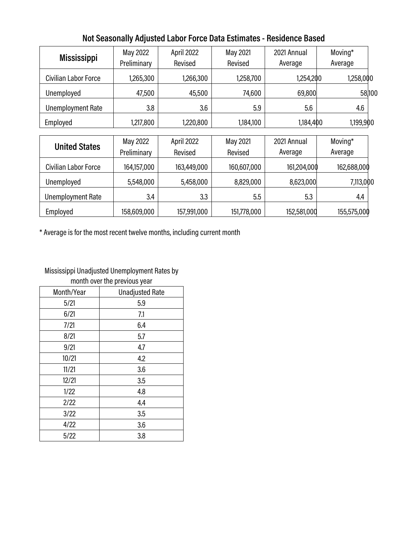| <b>Mississippi</b>       | May 2022<br>Preliminary | April 2022<br>Revised | May 2021<br>Revised | 2021 Annual<br>Average | Moving*<br>Average |
|--------------------------|-------------------------|-----------------------|---------------------|------------------------|--------------------|
| Civilian Labor Force     | 1,265,300               | 1,266,300             | 1,258,700           | 1,254,200              | 1,258,000          |
| Unemployed               | 47,500                  | 45,500                | 74,600              | 69,800                 | 58,100             |
| <b>Unemployment Rate</b> | 3.8                     | 3.6                   | 5.9                 | 5.6                    | 4.6                |
| Employed                 | 1,217,800               | 1,220,800             | 1,184,100           | 1,184,400              | 1,199,900          |
| <b>United States</b>     | May 2022<br>Preliminary | April 2022<br>Revised | May 2021<br>Revised | 2021 Annual<br>Average | Moving*<br>Average |
| Civilian Labor Force     | 164,157,000             | 163,449,000           | 160,607,000         | 161,204,000            | 162,688,000        |
| Unemployed               | 5,548,000               | 5,458,000             | 8,829,000           | 8,623,000              | 7,113,000          |
| <b>Unemployment Rate</b> | 3.4                     | 3.3                   | 5.5                 | 5.3                    | 4.4                |
| Employed                 | 158,609,000             | 157,991,000           | 151,778,000         | 152,581,000            | 155,575,000        |

# **Not Seasonally Adjusted Labor Force Data Estimates - Residence Based**

\* Average is for the most recent twelve months, including current month

#### Mississippi Unadjusted Unemployment Rates by month over the previous year

|            | ш                      |
|------------|------------------------|
| Month/Year | <b>Unadjusted Rate</b> |
| 5/21       | 5.9                    |
| 6/21       | 7.1                    |
| 7/21       | 6.4                    |
| 8/21       | 5.7                    |
| 9/21       | 4.7                    |
| 10/21      | 4.2                    |
| 11/21      | 3.6                    |
| 12/21      | 3.5                    |
| 1/22       | 4.8                    |
| 2/22       | 4.4                    |
| 3/22       | 3.5                    |
| 4/22       | 3.6                    |
| 5/22       | 3.8                    |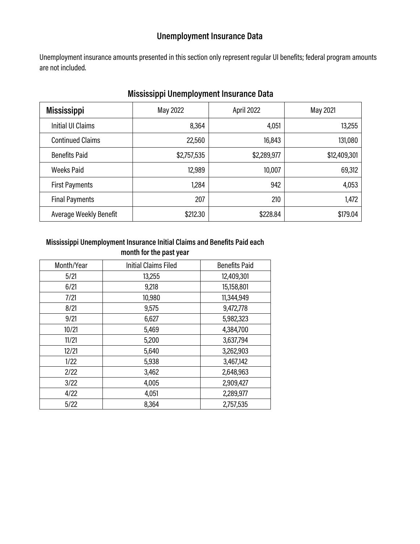# **Unemployment Insurance Data**

Unemployment insurance amounts presented in this section only represent regular UI benefits; federal program amounts are not included.

| <b>Mississippi</b>       | May 2022    | April 2022  | May 2021     |
|--------------------------|-------------|-------------|--------------|
| <b>Initial UI Claims</b> | 8,364       | 4,051       | 13,255       |
| <b>Continued Claims</b>  | 22,560      | 16,843      | 131,080      |
| <b>Benefits Paid</b>     | \$2,757,535 | \$2,289,977 | \$12,409,301 |
| <b>Weeks Paid</b>        | 12,989      | 10,007      | 69,312       |
| <b>First Payments</b>    | 1,284       | 942         | 4,053        |
| <b>Final Payments</b>    | 207         | 210         | 1,472        |
| Average Weekly Benefit   | \$212.30    | \$228.84    | \$179.04     |

# **Mississippi Unemployment Insurance Data**

#### **Mississippi Unemployment Insurance Initial Claims and Benefits Paid each month for the past year**

| Month/Year | <b>Initial Claims Filed</b> | <b>Benefits Paid</b> |
|------------|-----------------------------|----------------------|
| 5/21       | 13,255                      | 12,409,301           |
| 6/21       | 9,218                       | 15,158,801           |
| 7/21       | 10,980                      | 11,344,949           |
| 8/21       | 9,575                       | 9,472,778            |
| 9/21       | 6,627                       | 5,982,323            |
| 10/21      | 5,469                       | 4,384,700            |
| 11/21      | 5,200                       | 3,637,794            |
| 12/21      | 5,640                       | 3,262,903            |
| 1/22       | 5,938                       | 3,467,142            |
| 2/22       | 3,462                       | 2,648,963            |
| 3/22       | 4,005                       | 2,909,427            |
| 4/22       | 4,051                       | 2,289,977            |
| 5/22       | 8,364                       | 2,757,535            |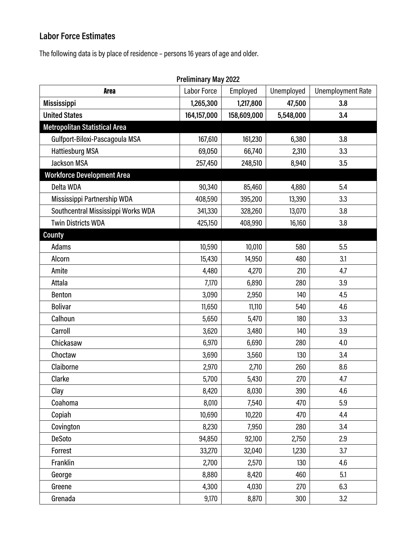# **Labor Force Estimates**

The following data is by place of residence – persons 16 years of age and older.

| <b>Preliminary May 2022</b>          |             |             |            |                          |  |
|--------------------------------------|-------------|-------------|------------|--------------------------|--|
| <b>Area</b>                          | Labor Force | Employed    | Unemployed | <b>Unemployment Rate</b> |  |
| <b>Mississippi</b>                   | 1,265,300   | 1,217,800   | 47,500     | 3.8                      |  |
| <b>United States</b>                 | 164,157,000 | 158,609,000 | 5,548,000  | 3.4                      |  |
| <b>Metropolitan Statistical Area</b> |             |             |            |                          |  |
| Gulfport-Biloxi-Pascagoula MSA       | 167,610     | 161,230     | 6,380      | 3.8                      |  |
| <b>Hattiesburg MSA</b>               | 69,050      | 66,740      | 2,310      | 3.3                      |  |
| <b>Jackson MSA</b>                   | 257,450     | 248,510     | 8,940      | 3.5                      |  |
| <b>Workforce Development Area</b>    |             |             |            |                          |  |
| Delta WDA                            | 90,340      | 85,460      | 4,880      | 5.4                      |  |
| Mississippi Partnership WDA          | 408,590     | 395,200     | 13,390     | 3.3                      |  |
| Southcentral Mississippi Works WDA   | 341,330     | 328,260     | 13,070     | 3.8                      |  |
| <b>Twin Districts WDA</b>            | 425,150     | 408,990     | 16,160     | 3.8                      |  |
| <b>County</b>                        |             |             |            |                          |  |
| Adams                                | 10,590      | 10,010      | 580        | 5.5                      |  |
| Alcorn                               | 15,430      | 14,950      | 480        | 3.1                      |  |
| Amite                                | 4,480       | 4,270       | 210        | 4.7                      |  |
| Attala                               | 7,170       | 6,890       | 280        | 3.9                      |  |
| Benton                               | 3,090       | 2,950       | 140        | 4.5                      |  |
| <b>Bolivar</b>                       | 11,650      | 11,110      | 540        | 4.6                      |  |
| Calhoun                              | 5,650       | 5,470       | 180        | 3.3                      |  |
| Carroll                              | 3,620       | 3,480       | 140        | 3.9                      |  |
| Chickasaw                            | 6,970       | 6,690       | 280        | 4.0                      |  |
| Choctaw                              | 3,690       | 3,560       | 130        | 3.4                      |  |
| Claiborne                            | 2,970       | 2,710       | 260        | 8.6                      |  |
| Clarke                               | 5,700       | 5,430       | 270        | 4.7                      |  |
| Clay                                 | 8,420       | 8,030       | 390        | 4.6                      |  |
| Coahoma                              | 8,010       | 7,540       | 470        | 5.9                      |  |
| Copiah                               | 10,690      | 10,220      | 470        | 4.4                      |  |
| Covington                            | 8,230       | 7,950       | 280        | 3.4                      |  |
| DeSoto                               | 94,850      | 92,100      | 2,750      | 2.9                      |  |
| Forrest                              | 33,270      | 32,040      | 1,230      | 3.7                      |  |
| Franklin                             | 2,700       | 2,570       | 130        | 4.6                      |  |
| George                               | 8,880       | 8,420       | 460        | 5.1                      |  |
| Greene                               | 4,300       | 4,030       | 270        | 6.3                      |  |
| Grenada                              | 9,170       | 8,870       | 300        | 3.2                      |  |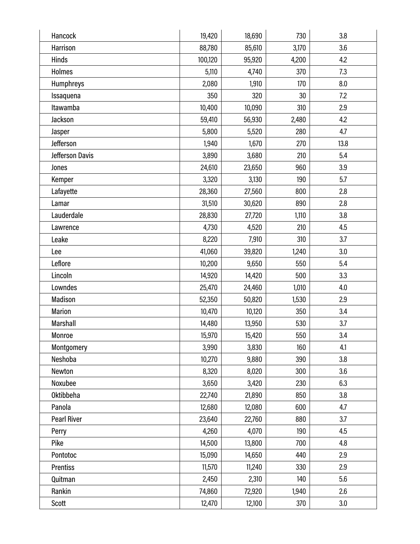| Hancock            | 19,420  | 18,690 | 730   | 3.8  |
|--------------------|---------|--------|-------|------|
| Harrison           | 88,780  | 85,610 | 3,170 | 3.6  |
| Hinds              | 100,120 | 95,920 | 4,200 | 4.2  |
| <b>Holmes</b>      | 5,110   | 4,740  | 370   | 7.3  |
| <b>Humphreys</b>   | 2,080   | 1,910  | 170   | 8.0  |
| Issaquena          | 350     | 320    | 30    | 7.2  |
| Itawamba           | 10,400  | 10,090 | 310   | 2.9  |
| Jackson            | 59,410  | 56,930 | 2,480 | 4.2  |
| Jasper             | 5,800   | 5,520  | 280   | 4.7  |
| Jefferson          | 1,940   | 1,670  | 270   | 13.8 |
| Jefferson Davis    | 3,890   | 3,680  | 210   | 5.4  |
| Jones              | 24,610  | 23,650 | 960   | 3.9  |
| Kemper             | 3,320   | 3,130  | 190   | 5.7  |
| Lafayette          | 28,360  | 27,560 | 800   | 2.8  |
| Lamar              | 31,510  | 30,620 | 890   | 2.8  |
| Lauderdale         | 28,830  | 27,720 | 1,110 | 3.8  |
| Lawrence           | 4,730   | 4,520  | 210   | 4.5  |
| Leake              | 8,220   | 7,910  | 310   | 3.7  |
| Lee                | 41,060  | 39,820 | 1,240 | 3.0  |
| Leflore            | 10,200  | 9,650  | 550   | 5.4  |
| Lincoln            | 14,920  | 14,420 | 500   | 3.3  |
| Lowndes            | 25,470  | 24,460 | 1,010 | 4.0  |
| Madison            | 52,350  | 50,820 | 1,530 | 2.9  |
| <b>Marion</b>      | 10,470  | 10,120 | 350   | 3.4  |
| Marshall           | 14,480  | 13,950 | 530   | 3.7  |
| Monroe             | 15,970  | 15,420 | 550   | 3.4  |
| Montgomery         | 3,990   | 3,830  | 160   | 4.1  |
| Neshoba            | 10,270  | 9,880  | 390   | 3.8  |
| Newton             | 8,320   | 8,020  | 300   | 3.6  |
| Noxubee            | 3,650   | 3,420  | 230   | 6.3  |
| <b>Oktibbeha</b>   | 22,740  | 21,890 | 850   | 3.8  |
| Panola             | 12,680  | 12,080 | 600   | 4.7  |
| <b>Pearl River</b> | 23,640  | 22,760 | 880   | 3.7  |
| Perry              | 4,260   | 4,070  | 190   | 4.5  |
| Pike               | 14,500  | 13,800 | 700   | 4.8  |
| Pontotoc           | 15,090  | 14,650 | 440   | 2.9  |
| <b>Prentiss</b>    | 11,570  | 11,240 | 330   | 2.9  |
| Quitman            | 2,450   | 2,310  | 140   | 5.6  |
| Rankin             | 74,860  | 72,920 | 1,940 | 2.6  |
| Scott              | 12,470  | 12,100 | 370   | 3.0  |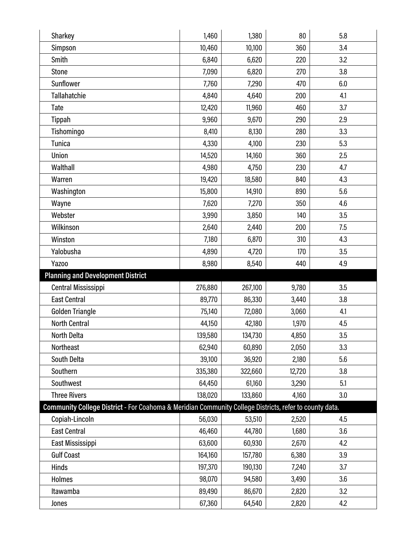| Sharkey                                                                                                | 1,460   | 1,380   | 80     | 5.8 |
|--------------------------------------------------------------------------------------------------------|---------|---------|--------|-----|
| Simpson                                                                                                | 10,460  | 10,100  | 360    | 3.4 |
| Smith                                                                                                  | 6,840   | 6,620   | 220    | 3.2 |
| <b>Stone</b>                                                                                           | 7,090   | 6,820   | 270    | 3.8 |
| Sunflower                                                                                              | 7,760   | 7,290   | 470    | 6.0 |
| <b>Tallahatchie</b>                                                                                    | 4,840   | 4,640   | 200    | 4.1 |
| Tate                                                                                                   | 12,420  | 11,960  | 460    | 3.7 |
| Tippah                                                                                                 | 9,960   | 9,670   | 290    | 2.9 |
| Tishomingo                                                                                             | 8,410   | 8,130   | 280    | 3.3 |
| <b>Tunica</b>                                                                                          | 4,330   | 4,100   | 230    | 5.3 |
| Union                                                                                                  | 14,520  | 14,160  | 360    | 2.5 |
| Walthall                                                                                               | 4,980   | 4,750   | 230    | 4.7 |
| Warren                                                                                                 | 19,420  | 18,580  | 840    | 4.3 |
| Washington                                                                                             | 15,800  | 14,910  | 890    | 5.6 |
| Wayne                                                                                                  | 7,620   | 7,270   | 350    | 4.6 |
| Webster                                                                                                | 3,990   | 3,850   | 140    | 3.5 |
| Wilkinson                                                                                              | 2,640   | 2,440   | 200    | 7.5 |
| Winston                                                                                                | 7,180   | 6,870   | 310    | 4.3 |
| Yalobusha                                                                                              | 4,890   | 4,720   | 170    | 3.5 |
| Yazoo                                                                                                  | 8,980   | 8,540   | 440    | 4.9 |
| <b>Planning and Development District</b>                                                               |         |         |        |     |
| Central Mississippi                                                                                    | 276,880 | 267,100 | 9,780  | 3.5 |
|                                                                                                        |         |         |        |     |
| <b>East Central</b>                                                                                    | 89,770  | 86,330  | 3,440  | 3.8 |
| Golden Triangle                                                                                        | 75,140  | 72,080  | 3,060  | 4.1 |
| <b>North Central</b>                                                                                   | 44,150  | 42,180  | 1,970  | 4.5 |
| <b>North Delta</b>                                                                                     | 139,580 | 134,730 | 4,850  | 3.5 |
| Northeast                                                                                              | 62,940  | 60,890  | 2,050  | 3.3 |
| South Delta                                                                                            | 39,100  | 36,920  | 2,180  | 5.6 |
| Southern                                                                                               | 335,380 | 322,660 | 12,720 | 3.8 |
| Southwest                                                                                              | 64,450  | 61,160  | 3,290  | 5.1 |
| <b>Three Rivers</b>                                                                                    | 138,020 | 133,860 | 4,160  | 3.0 |
| Community College District - For Coahoma & Meridian Community College Districts, refer to county data. |         |         |        |     |
| Copiah-Lincoln                                                                                         | 56,030  | 53,510  | 2,520  | 4.5 |
| <b>East Central</b>                                                                                    | 46,460  | 44,780  | 1,680  | 3.6 |
| East Mississippi                                                                                       | 63,600  | 60,930  | 2,670  | 4.2 |
| <b>Gulf Coast</b>                                                                                      | 164,160 | 157,780 | 6,380  | 3.9 |
| <b>Hinds</b>                                                                                           | 197,370 | 190,130 | 7,240  | 3.7 |
| <b>Holmes</b>                                                                                          | 98,070  | 94,580  | 3,490  | 3.6 |
| Itawamba                                                                                               | 89,490  | 86,670  | 2,820  | 3.2 |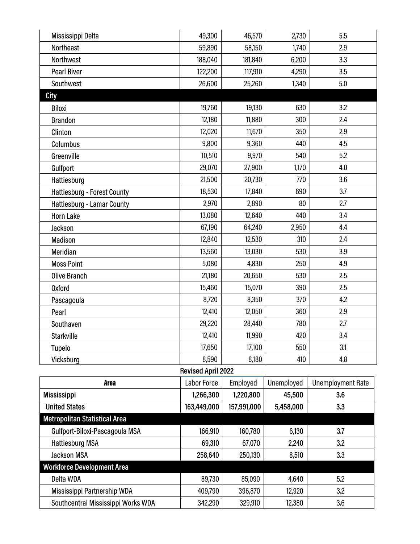| Mississippi Delta                    | 49,300      | 46,570      | 2,730      | 5.5                      |  |
|--------------------------------------|-------------|-------------|------------|--------------------------|--|
| Northeast                            | 59,890      | 58,150      | 1,740      | 2.9                      |  |
| Northwest                            | 188,040     | 181,840     | 6,200      | 3.3                      |  |
| <b>Pearl River</b>                   | 122,200     | 117,910     | 4,290      | 3.5                      |  |
| Southwest                            | 26,600      | 25,260      | 1,340      | 5.0                      |  |
| <b>City</b>                          |             |             |            |                          |  |
| <b>Biloxi</b>                        | 19,760      | 19,130      | 630        | 3.2                      |  |
| <b>Brandon</b>                       | 12,180      | 11,880      | 300        | 2.4                      |  |
| Clinton                              | 12,020      | 11,670      | 350        | 2.9                      |  |
| Columbus                             | 9,800       | 9,360       | 440        | 4.5                      |  |
| Greenville                           | 10,510      | 9,970       | 540        | 5.2                      |  |
| Gulfport                             | 29,070      | 27,900      | 1,170      | 4.0                      |  |
| Hattiesburg                          | 21,500      | 20,730      | 770        | 3.6                      |  |
| Hattiesburg - Forest County          | 18,530      | 17,840      | 690        | 3.7                      |  |
| Hattiesburg - Lamar County           | 2,970       | 2,890       | 80         | 2.7                      |  |
| <b>Horn Lake</b>                     | 13,080      | 12,640      | 440        | 3.4                      |  |
| Jackson                              | 67,190      | 64,240      | 2,950      | 4.4                      |  |
| Madison                              | 12,840      | 12,530      | 310        | 2.4                      |  |
| Meridian                             | 13,560      | 13,030      | 530        | 3.9                      |  |
| <b>Moss Point</b>                    | 5,080       | 4,830       | 250        | 4.9                      |  |
| Olive Branch                         | 21,180      | 20,650      | 530        | 2.5                      |  |
| <b>Oxford</b>                        | 15,460      | 15,070      | 390        | 2.5                      |  |
| Pascagoula                           | 8,720       | 8,350       | 370        | 4.2                      |  |
| Pearl                                | 12,410      | 12,050      | 360        | 2.9                      |  |
| Southaven                            | 29,220      | 28,440      | 780        | 2.7                      |  |
| <b>Starkville</b>                    | 12,410      | 11,990      | 420        | 3.4                      |  |
| Tupelo                               | 17,650      | 17,100      | 550        | 3.1                      |  |
| Vicksburg                            | 8,590       | 8,180       | 410        | 4.8                      |  |
| <b>Revised April 2022</b>            |             |             |            |                          |  |
| <b>Area</b>                          | Labor Force | Employed    | Unemployed | <b>Unemployment Rate</b> |  |
| <b>Mississippi</b>                   | 1,266,300   | 1,220,800   | 45,500     | 3.6                      |  |
| <b>United States</b>                 | 163,449,000 | 157,991,000 | 5,458,000  | 3.3                      |  |
| <b>Metropolitan Statistical Area</b> |             |             |            |                          |  |
| Gulfport-Biloxi-Pascagoula MSA       | 166,910     | 160,780     | 6,130      | 3.7                      |  |
| <b>Hattiesburg MSA</b>               | 69,310      | 67,070      | 2,240      | 3.2                      |  |
| <b>Jackson MSA</b>                   | 258,640     | 250,130     | 8,510      | 3.3                      |  |
| <b>Workforce Development Area</b>    |             |             |            |                          |  |
| Delta WDA                            | 89,730      | 85,090      | 4,640      | 5.2                      |  |
| Mississippi Partnership WDA          | 409,790     | 396,870     | 12,920     | 3.2                      |  |
| Southcentral Mississippi Works WDA   | 342,290     | 329,910     | 12,380     | 3.6                      |  |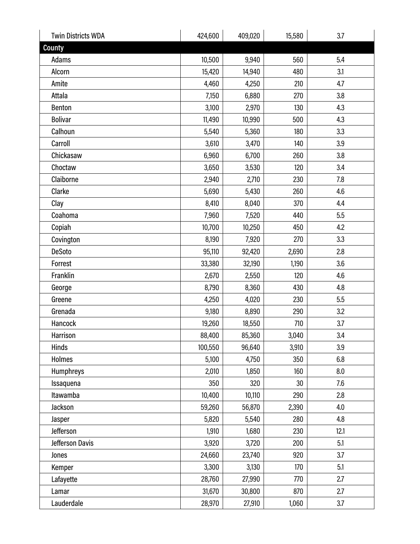| <b>Twin Districts WDA</b> | 424,600 | 409,020 | 15,580 | 3.7  |
|---------------------------|---------|---------|--------|------|
| County                    |         |         |        |      |
| Adams                     | 10,500  | 9,940   | 560    | 5.4  |
| Alcorn                    | 15,420  | 14,940  | 480    | 3.1  |
| Amite                     | 4,460   | 4,250   | 210    | 4.7  |
| Attala                    | 7,150   | 6,880   | 270    | 3.8  |
| <b>Benton</b>             | 3,100   | 2,970   | 130    | 4.3  |
| <b>Bolivar</b>            | 11,490  | 10,990  | 500    | 4.3  |
| Calhoun                   | 5,540   | 5,360   | 180    | 3.3  |
| Carroll                   | 3,610   | 3,470   | 140    | 3.9  |
| Chickasaw                 | 6,960   | 6,700   | 260    | 3.8  |
| Choctaw                   | 3,650   | 3,530   | 120    | 3.4  |
| Claiborne                 | 2,940   | 2,710   | 230    | 7.8  |
| Clarke                    | 5,690   | 5,430   | 260    | 4.6  |
| Clay                      | 8,410   | 8,040   | 370    | 4.4  |
| Coahoma                   | 7,960   | 7,520   | 440    | 5.5  |
| Copiah                    | 10,700  | 10,250  | 450    | 4.2  |
| Covington                 | 8,190   | 7,920   | 270    | 3.3  |
| <b>DeSoto</b>             | 95,110  | 92,420  | 2,690  | 2.8  |
| Forrest                   | 33,380  | 32,190  | 1,190  | 3.6  |
| Franklin                  | 2,670   | 2,550   | 120    | 4.6  |
| George                    | 8,790   | 8,360   | 430    | 4.8  |
| Greene                    | 4,250   | 4,020   | 230    | 5.5  |
| Grenada                   | 9,180   | 8,890   | 290    | 3.2  |
| Hancock                   | 19,260  | 18,550  | 710    | 3.7  |
| Harrison                  | 88,400  | 85,360  | 3,040  | 3.4  |
| Hinds                     | 100,550 | 96,640  | 3,910  | 3.9  |
| <b>Holmes</b>             | 5,100   | 4,750   | 350    | 6.8  |
| <b>Humphreys</b>          | 2,010   | 1,850   | 160    | 8.0  |
| Issaquena                 | 350     | 320     | 30     | 7.6  |
| Itawamba                  | 10,400  | 10,110  | 290    | 2.8  |
| Jackson                   | 59,260  | 56,870  | 2,390  | 4.0  |
| Jasper                    | 5,820   | 5,540   | 280    | 4.8  |
| Jefferson                 | 1,910   | 1,680   | 230    | 12.1 |
| Jefferson Davis           | 3,920   | 3,720   | 200    | 5.1  |
| Jones                     | 24,660  | 23,740  | 920    | 3.7  |
| Kemper                    | 3,300   | 3,130   | 170    | 5.1  |
| Lafayette                 | 28,760  | 27,990  | 770    | 2.7  |
| Lamar                     | 31,670  | 30,800  | 870    | 2.7  |
| Lauderdale                | 28,970  | 27,910  | 1,060  | 3.7  |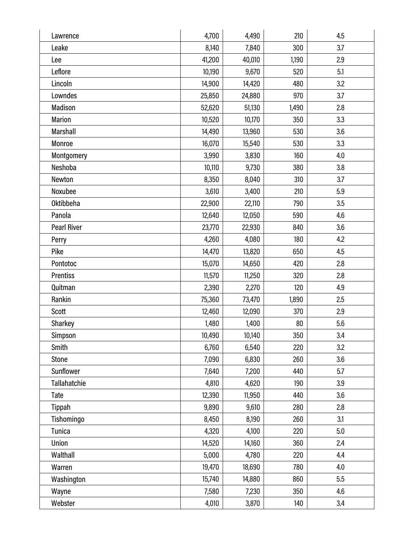| Lawrence           | 4,700  | 4,490  | 210   | 4.5 |
|--------------------|--------|--------|-------|-----|
| Leake              | 8,140  | 7,840  | 300   | 3.7 |
| Lee                | 41,200 | 40,010 | 1,190 | 2.9 |
| Leflore            | 10,190 | 9,670  | 520   | 5.1 |
| Lincoln            | 14,900 | 14,420 | 480   | 3.2 |
| Lowndes            | 25,850 | 24,880 | 970   | 3.7 |
| Madison            | 52,620 | 51,130 | 1,490 | 2.8 |
| <b>Marion</b>      | 10,520 | 10,170 | 350   | 3.3 |
| <b>Marshall</b>    | 14,490 | 13,960 | 530   | 3.6 |
| Monroe             | 16,070 | 15,540 | 530   | 3.3 |
| Montgomery         | 3,990  | 3,830  | 160   | 4.0 |
| Neshoba            | 10,110 | 9,730  | 380   | 3.8 |
| Newton             | 8,350  | 8,040  | 310   | 3.7 |
| Noxubee            | 3,610  | 3,400  | 210   | 5.9 |
| <b>Oktibbeha</b>   | 22,900 | 22,110 | 790   | 3.5 |
| Panola             | 12,640 | 12,050 | 590   | 4.6 |
| <b>Pearl River</b> | 23,770 | 22,930 | 840   | 3.6 |
| Perry              | 4,260  | 4,080  | 180   | 4.2 |
| Pike               | 14,470 | 13,820 | 650   | 4.5 |
| Pontotoc           | 15,070 | 14,650 | 420   | 2.8 |
| <b>Prentiss</b>    | 11,570 | 11,250 | 320   | 2.8 |
| Quitman            | 2,390  | 2,270  | 120   | 4.9 |
| Rankin             | 75,360 | 73,470 | 1,890 | 2.5 |
| <b>Scott</b>       | 12,460 | 12,090 | 370   | 2.9 |
| Sharkey            | 1,480  | 1,400  | 80    | 5.6 |
| Simpson            | 10,490 | 10,140 | 350   | 3.4 |
| Smith              | 6,760  | 6,540  | 220   | 3.2 |
| Stone              | 7,090  | 6,830  | 260   | 3.6 |
| Sunflower          | 7,640  | 7,200  | 440   | 5.7 |
| Tallahatchie       | 4,810  | 4,620  | 190   | 3.9 |
| Tate               | 12,390 | 11,950 | 440   | 3.6 |
| Tippah             | 9,890  | 9,610  | 280   | 2.8 |
| Tishomingo         | 8,450  | 8,190  | 260   | 3.1 |
| Tunica             | 4,320  | 4,100  | 220   | 5.0 |
| Union              | 14,520 | 14,160 | 360   | 2.4 |
| Walthall           | 5,000  | 4,780  | 220   | 4.4 |
| Warren             | 19,470 | 18,690 | 780   | 4.0 |
| Washington         | 15,740 | 14,880 | 860   | 5.5 |
| Wayne              | 7,580  | 7,230  | 350   | 4.6 |
| Webster            | 4,010  | 3,870  | 140   | 3.4 |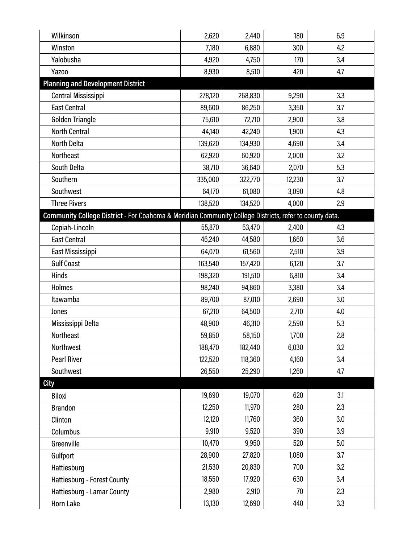| Wilkinson                                                                                              | 2,620   | 2,440   | 180    | 6.9 |
|--------------------------------------------------------------------------------------------------------|---------|---------|--------|-----|
| Winston                                                                                                | 7,180   | 6,880   | 300    | 4.2 |
| Yalobusha                                                                                              | 4,920   | 4,750   | 170    | 3.4 |
| Yazoo                                                                                                  | 8,930   | 8,510   | 420    | 4.7 |
| <b>Planning and Development District</b>                                                               |         |         |        |     |
| Central Mississippi                                                                                    | 278,120 | 268,830 | 9,290  | 3.3 |
| <b>East Central</b>                                                                                    | 89,600  | 86,250  | 3,350  | 3.7 |
| Golden Triangle                                                                                        | 75,610  | 72,710  | 2,900  | 3.8 |
| <b>North Central</b>                                                                                   | 44,140  | 42,240  | 1,900  | 4.3 |
| North Delta                                                                                            | 139,620 | 134,930 | 4,690  | 3.4 |
| Northeast                                                                                              | 62,920  | 60,920  | 2,000  | 3.2 |
| South Delta                                                                                            | 38,710  | 36,640  | 2,070  | 5.3 |
| Southern                                                                                               | 335,000 | 322,770 | 12,230 | 3.7 |
| Southwest                                                                                              | 64,170  | 61,080  | 3,090  | 4.8 |
| <b>Three Rivers</b>                                                                                    | 138,520 | 134,520 | 4,000  | 2.9 |
| Community College District - For Coahoma & Meridian Community College Districts, refer to county data. |         |         |        |     |
| Copiah-Lincoln                                                                                         | 55,870  | 53,470  | 2,400  | 4.3 |
| <b>East Central</b>                                                                                    | 46,240  | 44,580  | 1,660  | 3.6 |
| East Mississippi                                                                                       | 64,070  | 61,560  | 2,510  | 3.9 |
| <b>Gulf Coast</b>                                                                                      | 163,540 | 157,420 | 6,120  | 3.7 |
| Hinds                                                                                                  | 198,320 | 191,510 | 6,810  | 3.4 |
| <b>Holmes</b>                                                                                          | 98,240  | 94,860  | 3,380  | 3.4 |
| Itawamba                                                                                               | 89,700  | 87,010  | 2,690  | 3.0 |
| Jones                                                                                                  | 67,210  | 64,500  | 2,710  | 4.0 |
| Mississippi Delta                                                                                      | 48,900  | 46,310  | 2,590  | 5.3 |
| <b>Northeast</b>                                                                                       | 59,850  | 58,150  | 1,700  | 2.8 |
| Northwest                                                                                              | 188,470 | 182,440 | 6,030  | 3.2 |
| <b>Pearl River</b>                                                                                     | 122,520 | 118,360 | 4,160  | 3.4 |
| Southwest                                                                                              | 26,550  | 25,290  | 1,260  | 4.7 |
| <b>City</b>                                                                                            |         |         |        |     |
| <b>Biloxi</b>                                                                                          | 19,690  | 19,070  | 620    | 3.1 |
| <b>Brandon</b>                                                                                         | 12,250  | 11,970  | 280    | 2.3 |
| Clinton                                                                                                | 12,120  | 11,760  | 360    | 3.0 |
| Columbus                                                                                               | 9,910   | 9,520   | 390    | 3.9 |
| Greenville                                                                                             | 10,470  | 9,950   | 520    | 5.0 |
| Gulfport                                                                                               | 28,900  | 27,820  | 1,080  | 3.7 |
| Hattiesburg                                                                                            | 21,530  | 20,830  | 700    | 3.2 |
| Hattiesburg - Forest County                                                                            | 18,550  | 17,920  | 630    | 3.4 |
| Hattiesburg - Lamar County                                                                             | 2,980   | 2,910   | 70     | 2.3 |
| Horn Lake                                                                                              | 13,130  | 12,690  | 440    | 3.3 |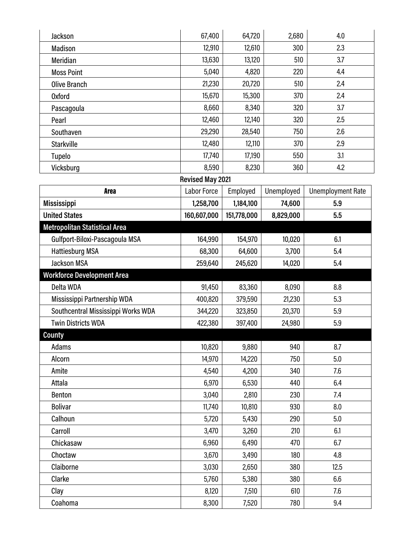| Jackson                              | 67,400                  | 64,720      | 2,680      | 4.0                      |
|--------------------------------------|-------------------------|-------------|------------|--------------------------|
| Madison                              | 12,910                  | 12,610      | 300        | 2.3                      |
| Meridian                             | 13,630                  | 13,120      | 510        | 3.7                      |
| <b>Moss Point</b>                    | 5,040                   | 4,820       | 220        | 4.4                      |
| <b>Olive Branch</b>                  | 21,230                  | 20,720      | 510        | 2.4                      |
| <b>Oxford</b>                        | 15,670                  | 15,300      | 370        | 2.4                      |
| Pascagoula                           | 8,660                   | 8,340       | 320        | 3.7                      |
| Pearl                                | 12,460                  | 12,140      | 320        | 2.5                      |
| Southaven                            | 29,290                  | 28,540      | 750        | 2.6                      |
| <b>Starkville</b>                    | 12,480                  | 12,110      | 370        | 2.9                      |
| Tupelo                               | 17,740                  | 17,190      | 550        | 3.1                      |
| Vicksburg                            | 8,590                   | 8,230       | 360        | 4.2                      |
|                                      | <b>Revised May 2021</b> |             |            |                          |
| <b>Area</b>                          | Labor Force             | Employed    | Unemployed | <b>Unemployment Rate</b> |
| <b>Mississippi</b>                   | 1,258,700               | 1,184,100   | 74,600     | 5.9                      |
| <b>United States</b>                 | 160,607,000             | 151,778,000 | 8,829,000  | 5.5                      |
| <b>Metropolitan Statistical Area</b> |                         |             |            |                          |
| Gulfport-Biloxi-Pascagoula MSA       | 164,990                 | 154,970     | 10,020     | 6.1                      |
| <b>Hattiesburg MSA</b>               | 68,300                  | 64,600      | 3,700      | 5.4                      |
| <b>Jackson MSA</b>                   | 259,640                 | 245,620     | 14,020     | 5.4                      |
| <b>Workforce Development Area</b>    |                         |             |            |                          |
| Delta WDA                            | 91,450                  | 83,360      | 8,090      | 8.8                      |
| Mississippi Partnership WDA          | 400,820                 | 379,590     | 21,230     | 5.3                      |
| Southcentral Mississippi Works WDA   | 344,220                 | 323,850     | 20,370     | 5.9                      |
| <b>Twin Districts WDA</b>            | 422,380                 | 397,400     | 24,980     | 5.9                      |
| <b>County</b>                        |                         |             |            |                          |
| Adams                                | 10,820                  | 9,880       | 940        | 8.7                      |
| Alcorn                               | 14,970                  | 14,220      | 750        | 5.0                      |
| Amite                                | 4,540                   | 4,200       | 340        | 7.6                      |
| Attala                               | 6,970                   | 6,530       | 440        | 6.4                      |
| Benton                               | 3,040                   | 2,810       | 230        | 7.4                      |
| <b>Bolivar</b>                       | 11,740                  | 10,810      | 930        | 8.0                      |
| Calhoun                              | 5,720                   | 5,430       | 290        | 5.0                      |
| Carroll                              | 3,470                   | 3,260       | 210        | 6.1                      |
| Chickasaw                            | 6,960                   | 6,490       | 470        | 6.7                      |
| Choctaw                              | 3,670                   | 3,490       | 180        | 4.8                      |
| Claiborne                            | 3,030                   | 2,650       | 380        | 12.5                     |
| Clarke                               | 5,760                   | 5,380       | 380        | 6.6                      |
| Clay                                 | 8,120                   | 7,510       | 610        | 7.6                      |
| Coahoma                              | 8,300                   | 7,520       | 780        | 9.4                      |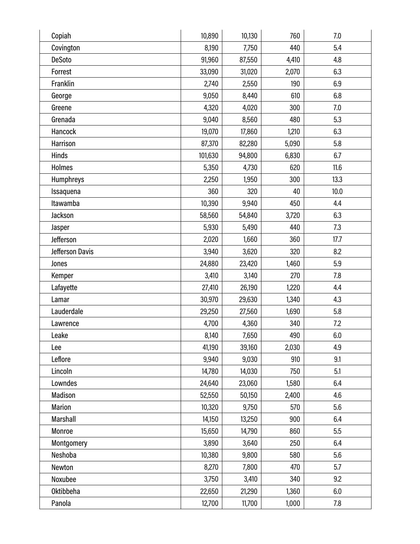| Copiah           | 10,890  | 10,130 | 760   | 7.0  |
|------------------|---------|--------|-------|------|
| Covington        | 8,190   | 7,750  | 440   | 5.4  |
| <b>DeSoto</b>    | 91,960  | 87,550 | 4,410 | 4.8  |
| Forrest          | 33,090  | 31,020 | 2,070 | 6.3  |
| Franklin         | 2,740   | 2,550  | 190   | 6.9  |
| George           | 9,050   | 8,440  | 610   | 6.8  |
| Greene           | 4,320   | 4,020  | 300   | 7.0  |
| Grenada          | 9,040   | 8,560  | 480   | 5.3  |
| Hancock          | 19,070  | 17,860 | 1,210 | 6.3  |
| Harrison         | 87,370  | 82,280 | 5,090 | 5.8  |
| <b>Hinds</b>     | 101,630 | 94,800 | 6,830 | 6.7  |
| Holmes           | 5,350   | 4,730  | 620   | 11.6 |
| <b>Humphreys</b> | 2,250   | 1,950  | 300   | 13.3 |
| Issaquena        | 360     | 320    | 40    | 10.0 |
| Itawamba         | 10,390  | 9,940  | 450   | 4.4  |
| Jackson          | 58,560  | 54,840 | 3,720 | 6.3  |
| Jasper           | 5,930   | 5,490  | 440   | 7.3  |
| Jefferson        | 2,020   | 1,660  | 360   | 17.7 |
| Jefferson Davis  | 3,940   | 3,620  | 320   | 8.2  |
| Jones            | 24,880  | 23,420 | 1,460 | 5.9  |
| Kemper           | 3,410   | 3,140  | 270   | 7.8  |
| Lafayette        | 27,410  | 26,190 | 1,220 | 4.4  |
| Lamar            | 30,970  | 29,630 | 1,340 | 4.3  |
| Lauderdale       | 29,250  | 27,560 | 1,690 | 5.8  |
| Lawrence         | 4,700   | 4,360  | 340   | 7.2  |
| Leake            | 8,140   | 7,650  | 490   | 6.0  |
| Lee              | 41,190  | 39,160 | 2,030 | 4.9  |
| Leflore          | 9,940   | 9,030  | 910   | 9.1  |
| Lincoln          | 14,780  | 14,030 | 750   | 5.1  |
| Lowndes          | 24,640  | 23,060 | 1,580 | 6.4  |
| Madison          | 52,550  | 50,150 | 2,400 | 4.6  |
| <b>Marion</b>    | 10,320  | 9,750  | 570   | 5.6  |
| Marshall         | 14,150  | 13,250 | 900   | 6.4  |
| Monroe           | 15,650  | 14,790 | 860   | 5.5  |
| Montgomery       | 3,890   | 3,640  | 250   | 6.4  |
| Neshoba          | 10,380  | 9,800  | 580   | 5.6  |
| Newton           | 8,270   | 7,800  | 470   | 5.7  |
| Noxubee          | 3,750   | 3,410  | 340   | 9.2  |
| <b>Oktibbeha</b> | 22,650  | 21,290 | 1,360 | 6.0  |
| Panola           | 12,700  | 11,700 | 1,000 | 7.8  |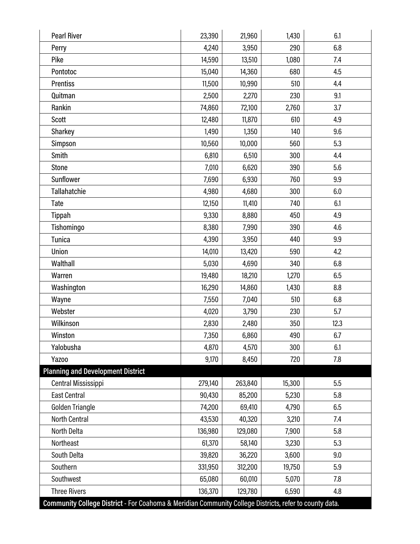| <b>Pearl River</b>                                                                                     | 23,390  | 21,960  | 1,430  | 6.1  |
|--------------------------------------------------------------------------------------------------------|---------|---------|--------|------|
| Perry                                                                                                  | 4,240   | 3,950   | 290    | 6.8  |
| Pike                                                                                                   | 14,590  | 13,510  | 1,080  | 7.4  |
| Pontotoc                                                                                               | 15,040  | 14,360  | 680    | 4.5  |
| <b>Prentiss</b>                                                                                        | 11,500  | 10,990  | 510    | 4.4  |
| Quitman                                                                                                | 2,500   | 2,270   | 230    | 9.1  |
| Rankin                                                                                                 | 74,860  | 72,100  | 2,760  | 3.7  |
| Scott                                                                                                  | 12,480  | 11,870  | 610    | 4.9  |
| Sharkey                                                                                                | 1,490   | 1,350   | 140    | 9.6  |
| Simpson                                                                                                | 10,560  | 10,000  | 560    | 5.3  |
| Smith                                                                                                  | 6,810   | 6,510   | 300    | 4.4  |
| <b>Stone</b>                                                                                           | 7,010   | 6,620   | 390    | 5.6  |
| Sunflower                                                                                              | 7,690   | 6,930   | 760    | 9.9  |
| Tallahatchie                                                                                           | 4,980   | 4,680   | 300    | 6.0  |
| Tate                                                                                                   | 12,150  | 11,410  | 740    | 6.1  |
| Tippah                                                                                                 | 9,330   | 8,880   | 450    | 4.9  |
| Tishomingo                                                                                             | 8,380   | 7,990   | 390    | 4.6  |
| <b>Tunica</b>                                                                                          | 4,390   | 3,950   | 440    | 9.9  |
| Union                                                                                                  | 14,010  | 13,420  | 590    | 4.2  |
| Walthall                                                                                               | 5,030   | 4,690   | 340    | 6.8  |
| Warren                                                                                                 | 19,480  | 18,210  | 1,270  | 6.5  |
| Washington                                                                                             | 16,290  | 14,860  | 1,430  | 8.8  |
| Wayne                                                                                                  | 7,550   | 7,040   | 510    | 6.8  |
| Webster                                                                                                | 4,020   | 3,790   | 230    | 5.7  |
| Wilkinson                                                                                              | 2,830   | 2,480   | 350    | 12.3 |
| Winston                                                                                                | 7,350   | 6,860   | 490    | 6.7  |
| Yalobusha                                                                                              | 4,870   | 4,570   | 300    | 6.1  |
| Yazoo                                                                                                  | 9,170   | 8,450   | 720    | 7.8  |
| <b>Planning and Development District</b>                                                               |         |         |        |      |
| <b>Central Mississippi</b>                                                                             | 279,140 | 263,840 | 15,300 | 5.5  |
| <b>East Central</b>                                                                                    | 90,430  | 85,200  | 5,230  | 5.8  |
| Golden Triangle                                                                                        | 74,200  | 69,410  | 4,790  | 6.5  |
| North Central                                                                                          | 43,530  | 40,320  | 3,210  | 7.4  |
| North Delta                                                                                            | 136,980 | 129,080 | 7,900  | 5.8  |
| Northeast                                                                                              | 61,370  | 58,140  | 3,230  | 5.3  |
| South Delta                                                                                            | 39,820  | 36,220  | 3,600  | 9.0  |
| Southern                                                                                               | 331,950 | 312,200 | 19,750 | 5.9  |
| Southwest                                                                                              | 65,080  | 60,010  | 5,070  | 7.8  |
| <b>Three Rivers</b>                                                                                    | 136,370 | 129,780 | 6,590  | 4.8  |
| Community College District - For Coahoma & Meridian Community College Districts, refer to county data. |         |         |        |      |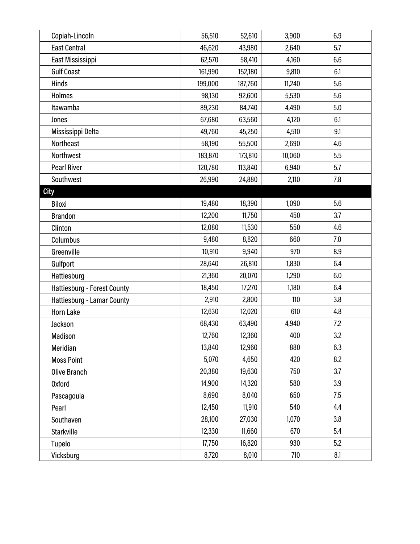| Copiah-Lincoln                     | 56,510  | 52,610  | 3,900  | 6.9 |
|------------------------------------|---------|---------|--------|-----|
| <b>East Central</b>                | 46,620  | 43,980  | 2,640  | 5.7 |
| East Mississippi                   | 62,570  | 58,410  | 4,160  | 6.6 |
| <b>Gulf Coast</b>                  | 161,990 | 152,180 | 9,810  | 6.1 |
| Hinds                              | 199,000 | 187,760 | 11,240 | 5.6 |
| <b>Holmes</b>                      | 98,130  | 92,600  | 5,530  | 5.6 |
| Itawamba                           | 89,230  | 84,740  | 4,490  | 5.0 |
| Jones                              | 67,680  | 63,560  | 4,120  | 6.1 |
| Mississippi Delta                  | 49,760  | 45,250  | 4,510  | 9.1 |
| Northeast                          | 58,190  | 55,500  | 2,690  | 4.6 |
| Northwest                          | 183,870 | 173,810 | 10,060 | 5.5 |
| <b>Pearl River</b>                 | 120,780 | 113,840 | 6,940  | 5.7 |
| Southwest                          | 26,990  | 24,880  | 2,110  | 7.8 |
| <b>City</b>                        |         |         |        |     |
| Biloxi                             | 19,480  | 18,390  | 1,090  | 5.6 |
| <b>Brandon</b>                     | 12,200  | 11,750  | 450    | 3.7 |
| Clinton                            | 12,080  | 11,530  | 550    | 4.6 |
| Columbus                           | 9,480   | 8,820   | 660    | 7.0 |
| Greenville                         | 10,910  | 9,940   | 970    | 8.9 |
| Gulfport                           | 28,640  | 26,810  | 1,830  | 6.4 |
| Hattiesburg                        | 21,360  | 20,070  | 1,290  | 6.0 |
| <b>Hattiesburg - Forest County</b> | 18,450  | 17,270  | 1,180  | 6.4 |
| Hattiesburg - Lamar County         | 2,910   | 2,800   | 110    | 3.8 |
| Horn Lake                          | 12,630  | 12,020  | 610    | 4.8 |
| Jackson                            | 68,430  | 63,490  | 4,940  | 7.2 |
| Madison                            | 12,760  | 12,360  | 400    | 3.2 |
| Meridian                           | 13,840  | 12,960  | 880    | 6.3 |
| <b>Moss Point</b>                  | 5,070   | 4,650   | 420    | 8.2 |
| <b>Olive Branch</b>                | 20,380  | 19,630  | 750    | 3.7 |
| <b>Oxford</b>                      | 14,900  | 14,320  | 580    | 3.9 |
| Pascagoula                         | 8,690   | 8,040   | 650    | 7.5 |
| Pearl                              | 12,450  | 11,910  | 540    | 4.4 |
| Southaven                          | 28,100  | 27,030  | 1,070  | 3.8 |
| <b>Starkville</b>                  | 12,330  | 11,660  | 670    | 5.4 |
| Tupelo                             | 17,750  | 16,820  | 930    | 5.2 |
| Vicksburg                          | 8,720   | 8,010   | 710    | 8.1 |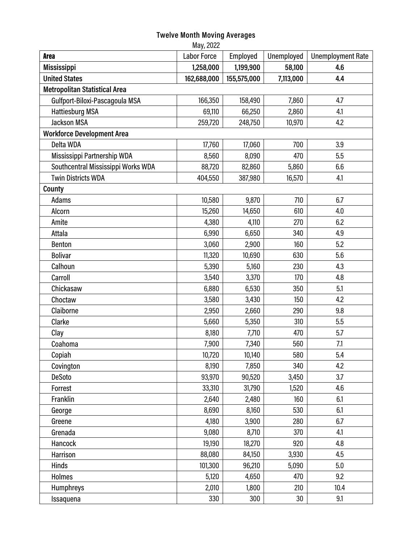#### **Twelve Month Moving Averages**

| May, 2022                            |                    |             |            |                          |
|--------------------------------------|--------------------|-------------|------------|--------------------------|
| <b>Area</b>                          | <b>Labor Force</b> | Employed    | Unemployed | <b>Unemployment Rate</b> |
| <b>Mississippi</b>                   | 1,258,000          | 1,199,900   | 58,100     | 4.6                      |
| <b>United States</b>                 | 162,688,000        | 155,575,000 | 7,113,000  | 4.4                      |
| <b>Metropolitan Statistical Area</b> |                    |             |            |                          |
| Gulfport-Biloxi-Pascagoula MSA       | 166,350            | 158,490     | 7,860      | 4.7                      |
| <b>Hattiesburg MSA</b>               | 69,110             | 66,250      | 2,860      | 4.1                      |
| <b>Jackson MSA</b>                   | 259,720            | 248,750     | 10,970     | 4.2                      |
| <b>Workforce Development Area</b>    |                    |             |            |                          |
| Delta WDA                            | 17,760             | 17,060      | 700        | 3.9                      |
| Mississippi Partnership WDA          | 8,560              | 8,090       | 470        | 5.5                      |
| Southcentral Mississippi Works WDA   | 88,720             | 82,860      | 5,860      | 6.6                      |
| <b>Twin Districts WDA</b>            | 404,550            | 387,980     | 16,570     | 4.1                      |
| County                               |                    |             |            |                          |
| Adams                                | 10,580             | 9,870       | 710        | 6.7                      |
| Alcorn                               | 15,260             | 14,650      | 610        | 4.0                      |
| Amite                                | 4,380              | 4,110       | 270        | 6.2                      |
| Attala                               | 6,990              | 6,650       | 340        | 4.9                      |
| <b>Benton</b>                        | 3,060              | 2,900       | 160        | 5.2                      |
| <b>Bolivar</b>                       | 11,320             | 10,690      | 630        | 5.6                      |
| Calhoun                              | 5,390              | 5,160       | 230        | 4.3                      |
| Carroll                              | 3,540              | 3,370       | 170        | 4.8                      |
| Chickasaw                            | 6,880              | 6,530       | 350        | 5.1                      |
| Choctaw                              | 3,580              | 3,430       | 150        | 4.2                      |
| Claiborne                            | 2,950              | 2,660       | 290        | 9.8                      |
| Clarke                               | 5,660              | 5,350       | 310        | 5.5                      |
| Clay                                 | 8,180              | 7,710       | 470        | 5.7                      |
| Coahoma                              | 7,900              | 7,340       | 560        | 7.1                      |
| Copiah                               | 10,720             | 10,140      | 580        | 5.4                      |
| Covington                            | 8,190              | 7,850       | 340        | 4.2                      |
| <b>DeSoto</b>                        | 93,970             | 90,520      | 3,450      | 3.7                      |
| Forrest                              | 33,310             | 31,790      | 1,520      | 4.6                      |
| Franklin                             | 2,640              | 2,480       | 160        | 6.1                      |
| George                               | 8,690              | 8,160       | 530        | 6.1                      |
| Greene                               | 4,180              | 3,900       | 280        | 6.7                      |
| Grenada                              | 9,080              | 8,710       | 370        | 4.1                      |
| Hancock                              | 19,190             | 18,270      | 920        | 4.8                      |
| Harrison                             | 88,080             | 84,150      | 3,930      | 4.5                      |
| <b>Hinds</b>                         | 101,300            | 96,210      | 5,090      | 5.0                      |
| <b>Holmes</b>                        | 5,120              | 4,650       | 470        | 9.2                      |
| Humphreys                            | 2,010              | 1,800       | 210        | 10.4                     |
| Issaquena                            | 330                | 300         | 30         | 9.1                      |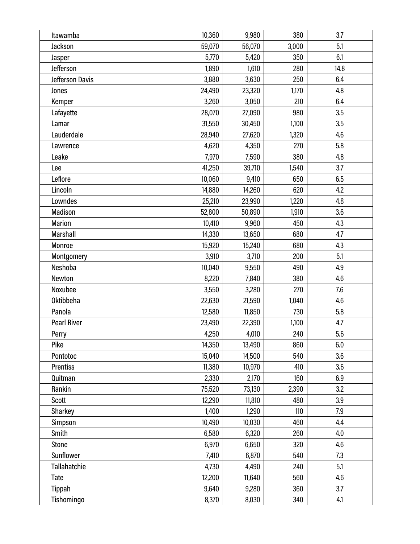| Itawamba           | 10,360 | 9,980  | 380   | 3.7  |
|--------------------|--------|--------|-------|------|
| Jackson            | 59,070 | 56,070 | 3,000 | 5.1  |
| Jasper             | 5,770  | 5,420  | 350   | 6.1  |
| Jefferson          | 1,890  | 1,610  | 280   | 14.8 |
| Jefferson Davis    | 3,880  | 3,630  | 250   | 6.4  |
| Jones              | 24,490 | 23,320 | 1,170 | 4.8  |
| Kemper             | 3,260  | 3,050  | 210   | 6.4  |
| Lafayette          | 28,070 | 27,090 | 980   | 3.5  |
| Lamar              | 31,550 | 30,450 | 1,100 | 3.5  |
| Lauderdale         | 28,940 | 27,620 | 1,320 | 4.6  |
| Lawrence           | 4,620  | 4,350  | 270   | 5.8  |
| Leake              | 7,970  | 7,590  | 380   | 4.8  |
| Lee                | 41,250 | 39,710 | 1,540 | 3.7  |
| Leflore            | 10,060 | 9,410  | 650   | 6.5  |
| Lincoln            | 14,880 | 14,260 | 620   | 4.2  |
| Lowndes            | 25,210 | 23,990 | 1,220 | 4.8  |
| Madison            | 52,800 | 50,890 | 1,910 | 3.6  |
| <b>Marion</b>      | 10,410 | 9,960  | 450   | 4.3  |
| Marshall           | 14,330 | 13,650 | 680   | 4.7  |
| Monroe             | 15,920 | 15,240 | 680   | 4.3  |
| Montgomery         | 3,910  | 3,710  | 200   | 5.1  |
| Neshoba            | 10,040 | 9,550  | 490   | 4.9  |
| Newton             | 8,220  | 7,840  | 380   | 4.6  |
| Noxubee            | 3,550  | 3,280  | 270   | 7.6  |
| <b>Oktibbeha</b>   | 22,630 | 21,590 | 1,040 | 4.6  |
| Panola             | 12,580 | 11,850 | 730   | 5.8  |
| <b>Pearl River</b> | 23,490 | 22,390 | 1,100 | 4.7  |
| Perry              | 4,250  | 4,010  | 240   | 5.6  |
| Pike               | 14,350 | 13,490 | 860   | 6.0  |
| Pontotoc           | 15,040 | 14,500 | 540   | 3.6  |
| <b>Prentiss</b>    | 11,380 | 10,970 | 410   | 3.6  |
| Quitman            | 2,330  | 2,170  | 160   | 6.9  |
| Rankin             | 75,520 | 73,130 | 2,390 | 3.2  |
| Scott              | 12,290 | 11,810 | 480   | 3.9  |
| Sharkey            | 1,400  | 1,290  | 110   | 7.9  |
| Simpson            | 10,490 | 10,030 | 460   | 4.4  |
| Smith              | 6,580  | 6,320  | 260   | 4.0  |
| Stone              | 6,970  | 6,650  | 320   | 4.6  |
| Sunflower          | 7,410  | 6,870  | 540   | 7.3  |
| Tallahatchie       | 4,730  | 4,490  | 240   | 5.1  |
| Tate               | 12,200 | 11,640 | 560   | 4.6  |
| Tippah             | 9,640  | 9,280  | 360   | 3.7  |
| Tishomingo         | 8,370  | 8,030  | 340   | 4.1  |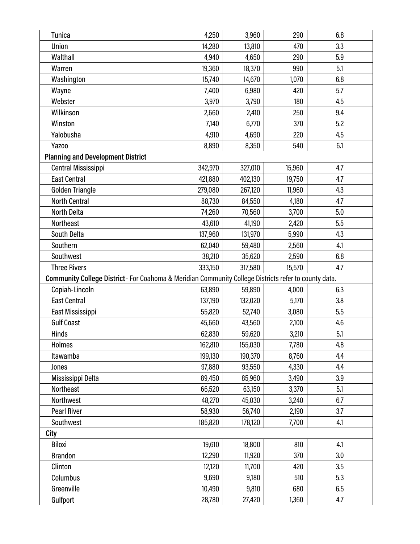| Tunica                                                                                                | 4,250   | 3,960   | 290    | 6.8 |
|-------------------------------------------------------------------------------------------------------|---------|---------|--------|-----|
| Union                                                                                                 | 14,280  | 13,810  | 470    | 3.3 |
| Walthall                                                                                              | 4,940   | 4,650   | 290    | 5.9 |
| Warren                                                                                                | 19,360  | 18,370  | 990    | 5.1 |
| Washington                                                                                            | 15,740  | 14,670  | 1,070  | 6.8 |
| Wayne                                                                                                 | 7,400   | 6,980   | 420    | 5.7 |
| Webster                                                                                               | 3,970   | 3,790   | 180    | 4.5 |
| Wilkinson                                                                                             | 2,660   | 2,410   | 250    | 9.4 |
| Winston                                                                                               | 7,140   | 6,770   | 370    | 5.2 |
| Yalobusha                                                                                             | 4,910   | 4,690   | 220    | 4.5 |
| Yazoo                                                                                                 | 8,890   | 8,350   | 540    | 6.1 |
| <b>Planning and Development District</b>                                                              |         |         |        |     |
| Central Mississippi                                                                                   | 342,970 | 327,010 | 15,960 | 4.7 |
| <b>East Central</b>                                                                                   | 421,880 | 402,130 | 19,750 | 4.7 |
| Golden Triangle                                                                                       | 279,080 | 267,120 | 11,960 | 4.3 |
| <b>North Central</b>                                                                                  | 88,730  | 84,550  | 4,180  | 4.7 |
| <b>North Delta</b>                                                                                    | 74,260  | 70,560  | 3,700  | 5.0 |
| <b>Northeast</b>                                                                                      | 43,610  | 41,190  | 2,420  | 5.5 |
| South Delta                                                                                           | 137,960 | 131,970 | 5,990  | 4.3 |
| Southern                                                                                              | 62,040  | 59,480  | 2,560  | 4.1 |
| Southwest                                                                                             | 38,210  | 35,620  | 2,590  | 6.8 |
| <b>Three Rivers</b>                                                                                   | 333,150 | 317,580 | 15,570 | 4.7 |
| Community College District - For Coahoma & Meridian Community College Districts refer to county data. |         |         |        |     |
| Copiah-Lincoln                                                                                        | 63,890  | 59,890  | 4,000  | 6.3 |
| <b>East Central</b>                                                                                   | 137,190 | 132,020 | 5,170  | 3.8 |
| East Mississippi                                                                                      | 55,820  | 52,740  | 3,080  | 5.5 |
| <b>Gulf Coast</b>                                                                                     | 45,660  | 43,560  | 2,100  | 4.6 |
| Hinds                                                                                                 | 62,830  | 59,620  | 3,210  | 5.1 |
| <b>Holmes</b>                                                                                         | 162,810 | 155,030 | 7,780  | 4.8 |
| Itawamba                                                                                              | 199,130 | 190,370 | 8,760  | 4.4 |
| Jones                                                                                                 | 97,880  | 93,550  | 4,330  | 4.4 |
| Mississippi Delta                                                                                     | 89,450  | 85,960  | 3,490  | 3.9 |
| Northeast                                                                                             | 66,520  | 63,150  | 3,370  | 5.1 |
| Northwest                                                                                             | 48,270  | 45,030  | 3,240  | 6.7 |
| <b>Pearl River</b>                                                                                    | 58,930  | 56,740  | 2,190  | 3.7 |
| Southwest                                                                                             | 185,820 | 178,120 | 7,700  | 4.1 |
| <b>City</b>                                                                                           |         |         |        |     |
|                                                                                                       |         |         |        |     |
| <b>Biloxi</b>                                                                                         | 19,610  | 18,800  | 810    | 4.1 |
| <b>Brandon</b>                                                                                        | 12,290  | 11,920  | 370    | 3.0 |
| Clinton                                                                                               | 12,120  | 11,700  | 420    | 3.5 |
| Columbus                                                                                              | 9,690   | 9,180   | 510    | 5.3 |
| Greenville                                                                                            | 10,490  | 9,810   | 680    | 6.5 |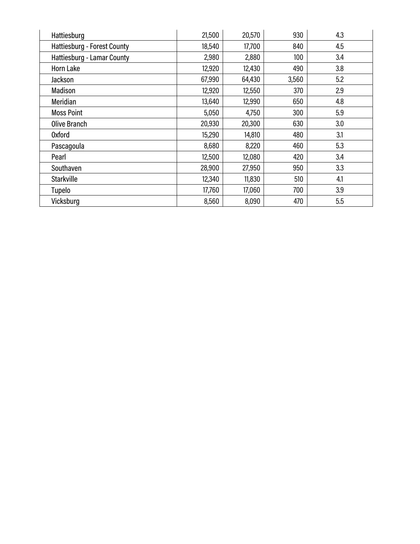| Hattiesburg                 | 21,500 | 20,570 | 930   | 4.3 |
|-----------------------------|--------|--------|-------|-----|
| Hattiesburg - Forest County | 18,540 | 17,700 | 840   | 4.5 |
| Hattiesburg - Lamar County  | 2,980  | 2,880  | 100   | 3.4 |
| <b>Horn Lake</b>            | 12,920 | 12,430 | 490   | 3.8 |
| Jackson                     | 67,990 | 64,430 | 3,560 | 5.2 |
| Madison                     | 12,920 | 12,550 | 370   | 2.9 |
| Meridian                    | 13,640 | 12,990 | 650   | 4.8 |
| <b>Moss Point</b>           | 5,050  | 4,750  | 300   | 5.9 |
| <b>Olive Branch</b>         | 20,930 | 20,300 | 630   | 3.0 |
| <b>Oxford</b>               | 15,290 | 14,810 | 480   | 3.1 |
| Pascagoula                  | 8,680  | 8,220  | 460   | 5.3 |
| Pearl                       | 12,500 | 12,080 | 420   | 3.4 |
| Southaven                   | 28,900 | 27,950 | 950   | 3.3 |
| <b>Starkville</b>           | 12,340 | 11,830 | 510   | 4.1 |
| Tupelo                      | 17,760 | 17,060 | 700   | 3.9 |
| Vicksburg                   | 8,560  | 8,090  | 470   | 5.5 |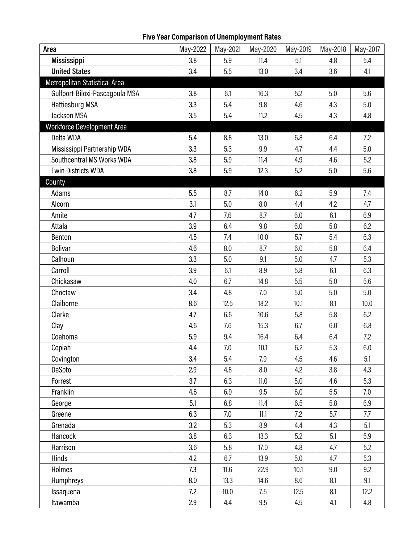# **Five Year Comparison of Unemployment Rates**

| Area                              | May-2022 | May-2021 | May-2020 | May-2019 | May-2018 | May-2017 |
|-----------------------------------|----------|----------|----------|----------|----------|----------|
| <b>Mississippi</b>                | 3.8      | 5.9      | 11.4     | 5.1      | 4.8      | 5.4      |
| <b>United States</b>              | 3.4      | 5.5      | 13.0     | 3.4      | 3.6      | 4.1      |
| Metropolitan Statistical Area     |          |          |          |          |          |          |
| Gulfport-Biloxi-Pascagoula MSA    | 3.8      | 6.1      | 16.3     | 5.2      | 5.0      | 5.6      |
| <b>Hattiesburg MSA</b>            | 3.3      | 5.4      | 9.8      | 4.6      | 4.3      | 5.0      |
| <b>Jackson MSA</b>                | 3.5      | 5.4      | 11.2     | 4.5      | 4.3      | 4.8      |
| <b>Workforce Development Area</b> |          |          |          |          |          |          |
| Delta WDA                         | 5.4      | 8.8      | 13.0     | 6.8      | 6.4      | 7.2      |
| Mississippi Partnership WDA       | 3.3      | 5.3      | 9.9      | 4.7      | 4.4      | 5.0      |
| Southcentral MS Works WDA         | 3.8      | 5.9      | 11.4     | 4.9      | 4.6      | 5.2      |
| <b>Twin Districts WDA</b>         | 3.8      | 5.9      | 12.3     | 5.2      | 5.0      | 5.6      |
| County                            |          |          |          |          |          |          |
| Adams                             | 5.5      | 8.7      | 14.0     | 6.2      | 5.9      | 7.4      |
| Alcorn                            | 3.1      | 5.0      | 8.0      | 4.4      | 4.2      | 4.7      |
| Amite                             | 4.7      | 7.6      | 8.7      | 6.0      | 6.1      | 6.9      |
| Attala                            | 3.9      | 6.4      | 9.8      | 6.0      | 5.8      | 6.2      |
| Benton                            | 4.5      | 7.4      | 10.0     | 5.7      | 5.4      | 6.3      |
| <b>Bolivar</b>                    | 4.6      | 8.0      | 8.7      | 6.0      | 5.8      | 6.4      |
| Calhoun                           | 3.3      | 5.0      | 9.1      | 5.0      | 4.7      | 5.3      |
| Carroll                           | 3.9      | 6.1      | 8.9      | 5.8      | 6.1      | 6.3      |
| Chickasaw                         | 4.0      | 6.7      | 14.8     | 5.5      | 5.0      | 5.6      |
| Choctaw                           | 3.4      | 4.8      | 7.0      | 5.0      | 5.0      | 5.0      |
| Claiborne                         | 8.6      | 12.5     | 18.2     | 10.1     | 8.1      | 10.0     |
| Clarke                            | 4.7      | 6.6      | 10.6     | 5.8      | 5.8      | 6.2      |
| Clay                              | 4.6      | 7.6      | 15.3     | 6.7      | 6.0      | 6.8      |
| Coahoma                           | 5.9      | 9.4      | 16.4     | 6.4      | 6.4      | 7.2      |
| Copiah                            | 4.4      | 7.0      | 10.1     | 6.2      | 5.3      | 6.0      |
| Covington                         | 3.4      | 5.4      | 7.9      | 4.5      | 4.6      | 5.1      |
| DeSoto                            | 2.9      | 4.8      | 8.0      | 4.2      | 3.8      | 4.3      |
| Forrest                           | 3.7      | 6.3      | 11.0     | 5.0      | 4.6      | 5.3      |
| Franklin                          | 4.6      | 6.9      | 9.5      | 6.0      | 5.5      | 7.0      |
| George                            | 5.1      | 6.8      | 11.4     | 6.5      | 5.8      | 6.9      |
| Greene                            | 6.3      | 7.0      | 11.1     | 7.2      | 5.7      | 7.7      |
| Grenada                           | 3.2      | 5.3      | 8.9      | 4.4      | 4.3      | 5.1      |
| Hancock                           | 3.8      | 6.3      | 13.3     | 5.2      | 5.1      | 5.9      |
| Harrison                          | 3.6      | 5.8      | 17.0     | 4.8      | 4.7      | 5.2      |
| Hinds                             | 4.2      | 6.7      | 13.9     | 5.0      | 4.7      | 5.3      |
| Holmes                            | 7.3      | 11.6     | 22.9     | 10.1     | 9.0      | 9.2      |
| Humphreys                         | 8.0      | 13.3     | 14.6     | 8.6      | 8.1      | 9.1      |
| Issaquena                         | 7.2      | 10.0     | 7.5      | 12.5     | 8.1      | 12.2     |
| Itawamba                          | 2.9      | 4.4      | 9.5      | 4.5      | 4.1      | 4.8      |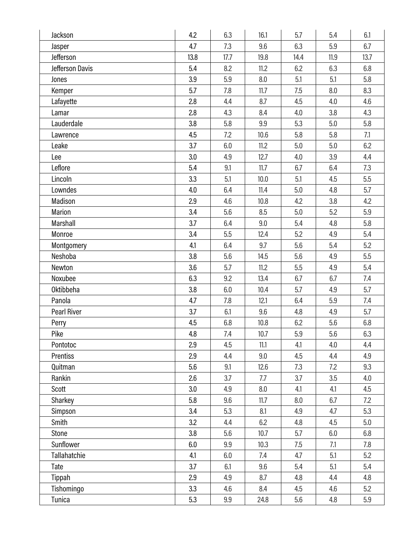| Jackson            | 4.2  | 6.3  | 16.1 | 5.7  | 5.4  | 6.1  |
|--------------------|------|------|------|------|------|------|
| Jasper             | 4.7  | 7.3  | 9.6  | 6.3  | 5.9  | 6.7  |
| Jefferson          | 13.8 | 17.7 | 19.8 | 14.4 | 11.9 | 13.7 |
| Jefferson Davis    | 5.4  | 8.2  | 11.2 | 6.2  | 6.3  | 6.8  |
| Jones              | 3.9  | 5.9  | 8.0  | 5.1  | 5.1  | 5.8  |
| Kemper             | 5.7  | 7.8  | 11.7 | 7.5  | 8.0  | 8.3  |
| Lafayette          | 2.8  | 4.4  | 8.7  | 4.5  | 4.0  | 4.6  |
| Lamar              | 2.8  | 4.3  | 8.4  | 4.0  | 3.8  | 4.3  |
| Lauderdale         | 3.8  | 5.8  | 9.9  | 5.3  | 5.0  | 5.8  |
| Lawrence           | 4.5  | 7.2  | 10.6 | 5.8  | 5.8  | 7.1  |
| Leake              | 3.7  | 6.0  | 11.2 | 5.0  | 5.0  | 6.2  |
| Lee                | 3.0  | 4.9  | 12.7 | 4.0  | 3.9  | 4.4  |
| Leflore            | 5.4  | 9.1  | 11.7 | 6.7  | 6.4  | 7.3  |
| Lincoln            | 3.3  | 5.1  | 10.0 | 5.1  | 4.5  | 5.5  |
| Lowndes            | 4.0  | 6.4  | 11.4 | 5.0  | 4.8  | 5.7  |
| Madison            | 2.9  | 4.6  | 10.8 | 4.2  | 3.8  | 4.2  |
| Marion             | 3.4  | 5.6  | 8.5  | 5.0  | 5.2  | 5.9  |
| Marshall           | 3.7  | 6.4  | 9.0  | 5.4  | 4.8  | 5.8  |
| Monroe             | 3.4  | 5.5  | 12.4 | 5.2  | 4.9  | 5.4  |
| Montgomery         | 4.1  | 6.4  | 9.7  | 5.6  | 5.4  | 5.2  |
| Neshoba            | 3.8  | 5.6  | 14.5 | 5.6  | 4.9  | 5.5  |
| Newton             | 3.6  | 5.7  | 11.2 | 5.5  | 4.9  | 5.4  |
| Noxubee            | 6.3  | 9.2  | 13.4 | 6.7  | 6.7  | 7.4  |
| Oktibbeha          | 3.8  | 6.0  | 10.4 | 5.7  | 4.9  | 5.7  |
| Panola             | 4.7  | 7.8  | 12.1 | 6.4  | 5.9  | 7.4  |
| <b>Pearl River</b> | 3.7  | 6.1  | 9.6  | 4.8  | 4.9  | 5.7  |
| Perry              | 4.5  | 6.8  | 10.8 | 6.2  | 5.6  | 6.8  |
| Pike               | 4.8  | 7.4  | 10.7 | 5.9  | 5.6  | 6.3  |
| Pontotoc           | 2.9  | 4.5  | 11.1 | 4.1  | 4.0  | 4.4  |
| Prentiss           | 2.9  | 4.4  | 9.0  | 4.5  | 4.4  | 4.9  |
| Quitman            | 5.6  | 9.1  | 12.6 | 7.3  | 7.2  | 9.3  |
| Rankin             | 2.6  | 3.7  | 7.7  | 3.7  | 3.5  | 4.0  |
| Scott              | 3.0  | 4.9  | 8.0  | 4.1  | 4.1  | 4.5  |
| Sharkey            | 5.8  | 9.6  | 11.7 | 8.0  | 6.7  | 7.2  |
| Simpson            | 3.4  | 5.3  | 8.1  | 4.9  | 4.7  | 5.3  |
| Smith              | 3.2  | 4.4  | 6.2  | 4.8  | 4.5  | 5.0  |
| Stone              | 3.8  | 5.6  | 10.7 | 5.7  | 6.0  | 6.8  |
| Sunflower          | 6.0  | 9.9  | 10.3 | 7.5  | 7.1  | 7.8  |
| Tallahatchie       | 4.1  | 6.0  | 7.4  | 4.7  | 5.1  | 5.2  |
| Tate               | 3.7  | 6.1  | 9.6  | 5.4  | 5.1  | 5.4  |
| Tippah             | 2.9  | 4.9  | 8.7  | 4.8  | 4.4  | 4.8  |
| Tishomingo         | 3.3  | 4.6  | 8.4  | 4.5  | 4.6  | 5.2  |
| Tunica             | 5.3  | 9.9  | 24.8 | 5.6  | 4.8  | 5.9  |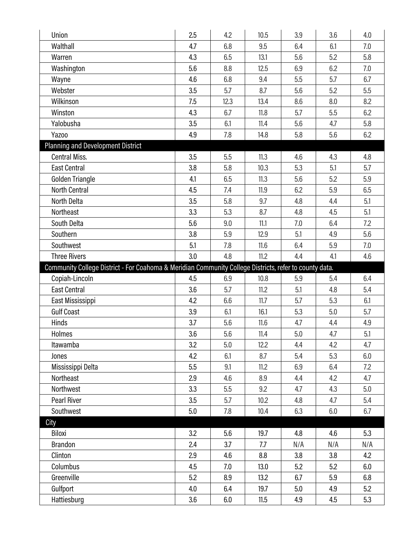| Union                                                                                                  | 2.5 | 4.2  | 10.5 | 3.9 | 3.6 | 4.0 |
|--------------------------------------------------------------------------------------------------------|-----|------|------|-----|-----|-----|
| Walthall                                                                                               | 4.7 | 6.8  | 9.5  | 6.4 | 6.1 | 7.0 |
| Warren                                                                                                 | 4.3 | 6.5  | 13.1 | 5.6 | 5.2 | 5.8 |
| Washington                                                                                             | 5.6 | 8.8  | 12.5 | 6.9 | 6.2 | 7.0 |
| Wayne                                                                                                  | 4.6 | 6.8  | 9.4  | 5.5 | 5.7 | 6.7 |
| Webster                                                                                                | 3.5 | 5.7  | 8.7  | 5.6 | 5.2 | 5.5 |
| Wilkinson                                                                                              | 7.5 | 12.3 | 13.4 | 8.6 | 8.0 | 8.2 |
| Winston                                                                                                | 4.3 | 6.7  | 11.8 | 5.7 | 5.5 | 6.2 |
| Yalobusha                                                                                              | 3.5 | 6.1  | 11.4 | 5.6 | 4.7 | 5.8 |
| Yazoo                                                                                                  | 4.9 | 7.8  | 14.8 | 5.8 | 5.6 | 6.2 |
| <b>Planning and Development District</b>                                                               |     |      |      |     |     |     |
| <b>Central Miss.</b>                                                                                   | 3.5 | 5.5  | 11.3 | 4.6 | 4.3 | 4.8 |
| <b>East Central</b>                                                                                    | 3.8 | 5.8  | 10.3 | 5.3 | 5.1 | 5.7 |
| Golden Triangle                                                                                        | 4.1 | 6.5  | 11.3 | 5.6 | 5.2 | 5.9 |
| North Central                                                                                          | 4.5 | 7.4  | 11.9 | 6.2 | 5.9 | 6.5 |
| North Delta                                                                                            | 3.5 | 5.8  | 9.7  | 4.8 | 4.4 | 5.1 |
| Northeast                                                                                              | 3.3 | 5.3  | 8.7  | 4.8 | 4.5 | 5.1 |
| South Delta                                                                                            | 5.6 | 9.0  | 11.1 | 7.0 | 6.4 | 7.2 |
| Southern                                                                                               | 3.8 | 5.9  | 12.9 | 5.1 | 4.9 | 5.6 |
| Southwest                                                                                              | 5.1 | 7.8  | 11.6 | 6.4 | 5.9 | 7.0 |
| <b>Three Rivers</b>                                                                                    | 3.0 | 4.8  | 11.2 | 4.4 | 4.1 | 4.6 |
| Community College District - For Coahoma & Meridian Community College Districts, refer to county data. |     |      |      |     |     |     |
|                                                                                                        |     |      |      |     |     |     |
| Copiah-Lincoln                                                                                         | 4.5 | 6.9  | 10.8 | 5.9 | 5.4 | 6.4 |
| <b>East Central</b>                                                                                    | 3.6 | 5.7  | 11.2 | 5.1 | 4.8 | 5.4 |
| East Mississippi                                                                                       | 4.2 | 6.6  | 11.7 | 5.7 | 5.3 | 6.1 |
| <b>Gulf Coast</b>                                                                                      | 3.9 | 6.1  | 16.1 | 5.3 | 5.0 | 5.7 |
| Hinds                                                                                                  | 3.7 | 5.6  | 11.6 | 4.7 | 4.4 | 4.9 |
| Holmes                                                                                                 | 3.6 | 5.6  | 11.4 | 5.0 | 4.7 | 5.1 |
| Itawamba                                                                                               | 3.2 | 5.0  | 12.2 | 4.4 | 4.2 | 4.7 |
| Jones                                                                                                  | 4.2 | 6.1  | 8.7  | 5.4 | 5.3 | 6.0 |
| Mississippi Delta                                                                                      | 5.5 | 9.1  | 11.2 | 6.9 | 6.4 | 7.2 |
| Northeast                                                                                              | 2.9 | 4.6  | 8.9  | 4.4 | 4.2 | 4.7 |
| Northwest                                                                                              | 3.3 | 5.5  | 9.2  | 4.7 | 4.3 | 5.0 |
| Pearl River                                                                                            | 3.5 | 5.7  | 10.2 | 4.8 | 4.7 | 5.4 |
| Southwest                                                                                              | 5.0 | 7.8  | 10.4 | 6.3 | 6.0 | 6.7 |
| City                                                                                                   |     |      |      |     |     |     |
| Biloxi                                                                                                 | 3.2 | 5.6  | 19.7 | 4.8 | 4.6 | 5.3 |
| Brandon                                                                                                | 2.4 | 3.7  | 7.7  | N/A | N/A | N/A |
| Clinton                                                                                                | 2.9 | 4.6  | 8.8  | 3.8 | 3.8 | 4.2 |
| Columbus                                                                                               | 4.5 | 7.0  | 13.0 | 5.2 | 5.2 | 6.0 |
| Greenville                                                                                             | 5.2 | 8.9  | 13.2 | 6.7 | 5.9 | 6.8 |
| Gulfport<br>Hattiesburg                                                                                | 4.0 | 6.4  | 19.7 | 5.0 | 4.9 | 5.2 |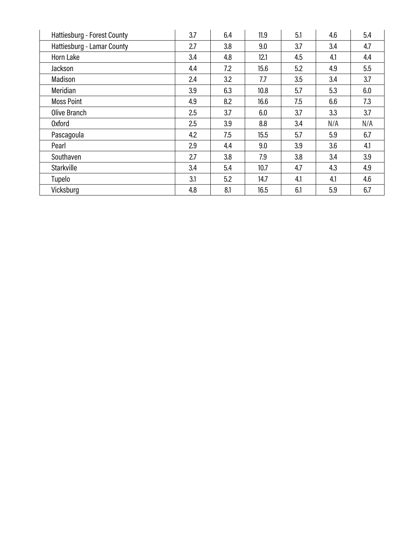| Hattiesburg - Forest County | 3.7 | 6.4 | 11.9 | 5.1 | 4.6 | 5.4 |
|-----------------------------|-----|-----|------|-----|-----|-----|
| Hattiesburg - Lamar County  | 2.7 | 3.8 | 9.0  | 3.7 | 3.4 | 4.7 |
| Horn Lake                   | 3.4 | 4.8 | 12.1 | 4.5 | 4.1 | 4.4 |
| Jackson                     | 4.4 | 7.2 | 15.6 | 5.2 | 4.9 | 5.5 |
| Madison                     | 2.4 | 3.2 | 7.7  | 3.5 | 3.4 | 3.7 |
| Meridian                    | 3.9 | 6.3 | 10.8 | 5.7 | 5.3 | 6.0 |
| <b>Moss Point</b>           | 4.9 | 8.2 | 16.6 | 7.5 | 6.6 | 7.3 |
| Olive Branch                | 2.5 | 3.7 | 6.0  | 3.7 | 3.3 | 3.7 |
| <b>Oxford</b>               | 2.5 | 3.9 | 8.8  | 3.4 | N/A | N/A |
| Pascagoula                  | 4.2 | 7.5 | 15.5 | 5.7 | 5.9 | 6.7 |
| Pearl                       | 2.9 | 4.4 | 9.0  | 3.9 | 3.6 | 4.1 |
| Southaven                   | 2.7 | 3.8 | 7.9  | 3.8 | 3.4 | 3.9 |
| Starkville                  | 3.4 | 5.4 | 10.7 | 4.7 | 4.3 | 4.9 |
| Tupelo                      | 3.1 | 5.2 | 14.7 | 4.1 | 4.1 | 4.6 |
| Vicksburg                   | 4.8 | 8.1 | 16.5 | 6.1 | 5.9 | 6.7 |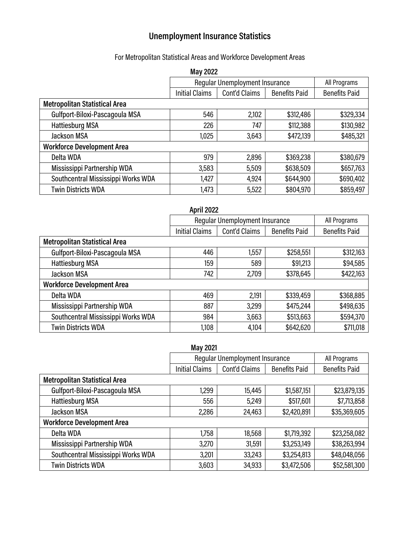# **Unemployment Insurance Statistics**

# For Metropolitan Statistical Areas and Workforce Development Areas

|                                      | <b>May 2022</b>       |                                       |                      |                      |
|--------------------------------------|-----------------------|---------------------------------------|----------------------|----------------------|
|                                      |                       | <b>Regular Unemployment Insurance</b> |                      | All Programs         |
|                                      | <b>Initial Claims</b> | Cont'd Claims                         | <b>Benefits Paid</b> | <b>Benefits Paid</b> |
| <b>Metropolitan Statistical Area</b> |                       |                                       |                      |                      |
| Gulfport-Biloxi-Pascagoula MSA       | 546                   | 2,102                                 | \$312,486            | \$329,334            |
| <b>Hattiesburg MSA</b>               | 226                   | 747                                   | \$112,388            | \$130,982            |
| <b>Jackson MSA</b>                   | 1,025                 | 3,643                                 | \$472,139            | \$485,321            |
| <b>Workforce Development Area</b>    |                       |                                       |                      |                      |
| Delta WDA                            | 979                   | 2,896                                 | \$369,238            | \$380,679            |
| Mississippi Partnership WDA          | 3,583                 | 5,509                                 | \$638,509            | \$657,763            |
| Southcentral Mississippi Works WDA   | 1,427                 | 4,924                                 | \$644,900            | \$690,402            |
| <b>Twin Districts WDA</b>            | 1,473                 | 5,522                                 | \$804,970            | \$859,497            |

Ι

|                                      | <b>April 2022</b>     |                                |                      |                      |
|--------------------------------------|-----------------------|--------------------------------|----------------------|----------------------|
|                                      |                       | Regular Unemployment Insurance |                      | All Programs         |
|                                      | <b>Initial Claims</b> | Cont'd Claims                  | <b>Benefits Paid</b> | <b>Benefits Paid</b> |
| <b>Metropolitan Statistical Area</b> |                       |                                |                      |                      |
| Gulfport-Biloxi-Pascagoula MSA       | 446                   | 1,557                          | \$258,551            | \$312,163            |
| <b>Hattiesburg MSA</b>               | 159                   | 589                            | \$91,213             | \$94,585             |
| <b>Jackson MSA</b>                   | 742                   | 2,709                          | \$378,645            | \$422,163            |
| <b>Workforce Development Area</b>    |                       |                                |                      |                      |
| Delta WDA                            | 469                   | 2,191                          | \$339,459            | \$368,885            |
| Mississippi Partnership WDA          | 887                   | 3,299                          | \$475,244            | \$498,635            |
| Southcentral Mississippi Works WDA   | 984                   | 3,663                          | \$513,663            | \$594,370            |
| <b>Twin Districts WDA</b>            | 1,108                 | 4,104                          | \$642,620            | \$711,018            |

|                                      | <b>May 2021</b>       |                                |                      |                      |
|--------------------------------------|-----------------------|--------------------------------|----------------------|----------------------|
|                                      |                       | Regular Unemployment Insurance |                      | All Programs         |
|                                      | <b>Initial Claims</b> | Cont'd Claims                  | <b>Benefits Paid</b> | <b>Benefits Paid</b> |
| <b>Metropolitan Statistical Area</b> |                       |                                |                      |                      |
| Gulfport-Biloxi-Pascagoula MSA       | 1,299                 | 15,445                         | \$1,587,151          | \$23,879,135         |
| <b>Hattiesburg MSA</b>               | 556                   | 5,249                          | \$517,601            | \$7,713,858          |
| <b>Jackson MSA</b>                   | 2,286                 | 24,463                         | \$2,420,891          | \$35,369,605         |
| <b>Workforce Development Area</b>    |                       |                                |                      |                      |
| Delta WDA                            | 1,758                 | 18,568                         | \$1,719,392          | \$23,258,082         |
| Mississippi Partnership WDA          | 3,270                 | 31,591                         | \$3,253,149          | \$38,263,994         |
| Southcentral Mississippi Works WDA   | 3,201                 | 33,243                         | \$3,254,813          | \$48,048,056         |
| <b>Twin Districts WDA</b>            | 3,603                 | 34,933                         | \$3,472,506          | \$52,581,300         |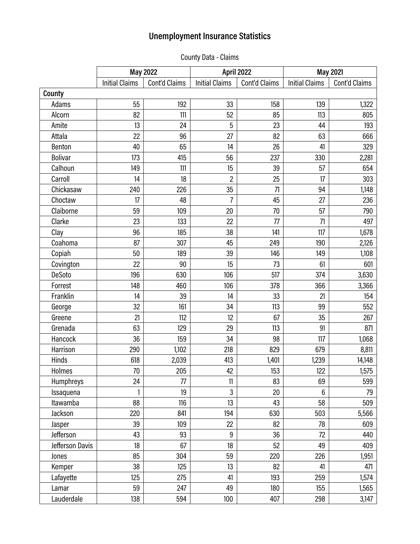# **Unemployment Insurance Statistics**

County Data - Claims

|                 |                       | May 2022      | <b>April 2022</b>     |               | <b>May 2021</b>       |               |
|-----------------|-----------------------|---------------|-----------------------|---------------|-----------------------|---------------|
|                 | <b>Initial Claims</b> | Cont'd Claims | <b>Initial Claims</b> | Cont'd Claims | <b>Initial Claims</b> | Cont'd Claims |
| County          |                       |               |                       |               |                       |               |
| Adams           | 55                    | 192           | 33                    | 158           | 139                   | 1,322         |
| Alcorn          | 82                    | 111           | 52                    | 85            | 113                   | 805           |
| Amite           | 13                    | 24            | 5                     | 23            | 44                    | 193           |
| Attala          | 22                    | 96            | 27                    | 82            | 63                    | 666           |
| Benton          | 40                    | 65            | 14                    | 26            | 41                    | 329           |
| <b>Bolivar</b>  | 173                   | 415           | 56                    | 237           | 330                   | 2,281         |
| Calhoun         | 149                   | 111           | 15                    | 39            | 57                    | 654           |
| Carroll         | 14                    | 18            | $\overline{c}$        | 25            | 17                    | 303           |
| Chickasaw       | 240                   | 226           | 35                    | 71            | 94                    | 1,148         |
| Choctaw         | 17                    | 48            | $\overline{7}$        | 45            | 27                    | 236           |
| Claiborne       | 59                    | 109           | 20                    | 70            | 57                    | 790           |
| Clarke          | 23                    | 133           | 22                    | 77            | 71                    | 497           |
| Clay            | 96                    | 185           | 38                    | 141           | 117                   | 1,678         |
| Coahoma         | 87                    | 307           | 45                    | 249           | 190                   | 2,126         |
| Copiah          | 50                    | 189           | 39                    | 146           | 149                   | 1,108         |
| Covington       | 22                    | 90            | 15                    | 73            | 61                    | 601           |
| DeSoto          | 196                   | 630           | 106                   | 517           | 374                   | 3,630         |
| Forrest         | 148                   | 460           | 106                   | 378           | 366                   | 3,366         |
| Franklin        | 14                    | 39            | 14                    | 33            | 21                    | 154           |
| George          | 32                    | 161           | 34                    | 113           | 99                    | 552           |
| Greene          | 21                    | 112           | 12                    | 67            | 35                    | 267           |
| Grenada         | 63                    | 129           | 29                    | 113           | 91                    | 871           |
| Hancock         | 36                    | 159           | 34                    | 98            | 117                   | 1,068         |
| Harrison        | 290                   | 1,102         | 218                   | 829           | 679                   | 8,811         |
| Hinds           | 618                   | 2,039         | 413                   | 1,401         | 1,239                 | 14,148        |
| Holmes          | $70\,$                | 205           | 42                    | 153           | 122                   | 1,575         |
| Humphreys       | 24                    | 77            | 11                    | 83            | 69                    | 599           |
| Issaquena       | 1                     | 19            | $\overline{3}$        | 20            | 6                     | 79            |
| Itawamba        | 88                    | 116           | 13                    | 43            | 58                    | 509           |
| Jackson         | 220                   | 841           | 194                   | 630           | 503                   | 5,566         |
| Jasper          | 39                    | 109           | 22                    | 82            | 78                    | 609           |
| Jefferson       | 43                    | 93            | 9                     | 36            | 72                    | 440           |
| Jefferson Davis | 18                    | 67            | 18                    | 52            | 49                    | 409           |
| Jones           | 85                    | 304           | 59                    | 220           | 226                   | 1,951         |
| Kemper          | 38                    | 125           | 13                    | 82            | 41                    | 471           |
| Lafayette       | 125                   | 275           | 41                    | 193           | 259                   | 1,574         |
| Lamar           | 59                    | 247           | 49                    | 180           | 155                   | 1,565         |
| Lauderdale      | 138                   | 594           | 100                   | 407           | 298                   | 3,147         |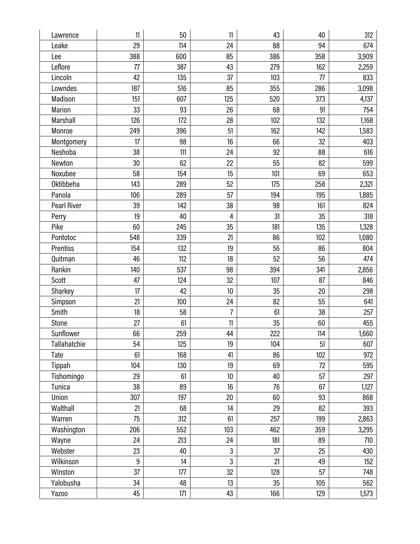| Lawrence           | 11  | 50    | 11             | 43  | 40  | 312   |
|--------------------|-----|-------|----------------|-----|-----|-------|
| Leake              | 29  | 114   | 24             | 88  | 94  | 674   |
| Lee                | 388 | 600   | 85             | 386 | 358 | 3,909 |
| Leflore            | 77  | 387   | 43             | 279 | 162 | 2,259 |
| Lincoln            | 42  | 135   | 37             | 103 | 77  | 833   |
| Lowndes            | 187 | 516   | 85             | 355 | 286 | 3,098 |
| Madison            | 151 | 607   | 125            | 520 | 373 | 4,137 |
| Marion             | 33  | 93    | 26             | 68  | 91  | 754   |
| Marshall           | 126 | 172   | 28             | 102 | 132 | 1,168 |
| Monroe             | 249 | 396   | 51             | 162 | 142 | 1,583 |
| Montgomery         | 17  | 98    | 16             | 66  | 32  | 403   |
| Neshoba            | 38  | 111   | 24             | 92  | 88  | 616   |
| Newton             | 30  | 62    | 22             | 55  | 82  | 599   |
| Noxubee            | 58  | 154   | 15             | 101 | 69  | 653   |
| <b>Oktibbeha</b>   | 143 | 289   | 52             | 175 | 258 | 2,321 |
| Panola             | 106 | 289   | 57             | 194 | 195 | 1,885 |
| <b>Pearl River</b> | 39  | 142   | 38             | 98  | 161 | 824   |
| Perry              | 19  | 40    | 4              | 31  | 35  | 318   |
| Pike               | 60  | 245   | 35             | 181 | 135 | 1,328 |
| Pontotoc           | 548 | 339   | 21             | 86  | 102 | 1,080 |
| Prentiss           | 154 | 132   | 19             | 56  | 86  | 804   |
| Quitman            | 46  | 112   | 18             | 52  | 56  | 474   |
| Rankin             | 140 | 537   | 98             | 394 | 341 | 2,856 |
| Scott              | 47  | 124   | 32             | 107 | 87  | 846   |
| Sharkey            | 17  | 42    | 10             | 35  | 20  | 298   |
| Simpson            | 21  | 100   | 24             | 82  | 55  | 641   |
| Smith              | 18  | 58    | $\overline{7}$ | 61  | 38  | 257   |
| Stone              | 27  | 61    | 11             | 35  | 60  | 455   |
| Sunflower          | 66  | 259   | 44             | 222 | 114 | 1,660 |
| Tallahatchie       | 54  | 125   | 19             | 104 | 51  | 607   |
| Tate               | 61  | 168   | 41             | 86  | 102 | 972   |
| Tippah             | 104 | 130   | 19             | 69  | 72  | 595   |
| Tishomingo         | 29  | 61    | 10             | 40  | 57  | 297   |
| Tunica             | 38  | 89    | 16             | 76  | 67  | 1,127 |
| Union              | 307 | 197   | 20             | 60  | 93  | 868   |
| Walthall           | 21  | 68    | 14             | 29  | 82  | 393   |
| Warren             | 75  | 312   | 61             | 257 | 199 | 2,863 |
| Washington         | 206 | 552   | 103            | 462 | 359 | 3,295 |
| Wayne              | 24  | 213   | 24             | 181 | 89  | 710   |
| Webster            | 23  | 40    | $\mathfrak{z}$ | 37  | 25  | 430   |
| Wilkinson          | 9   | 14    | $\overline{3}$ | 21  | 49  | 152   |
| Winston            | 37  | 177   | 32             | 128 | 57  | 748   |
| Yalobusha          | 34  | 48    | 13             | 35  | 105 | 562   |
| Yazoo              | 45  | $171$ | 43             | 166 | 129 | 1,573 |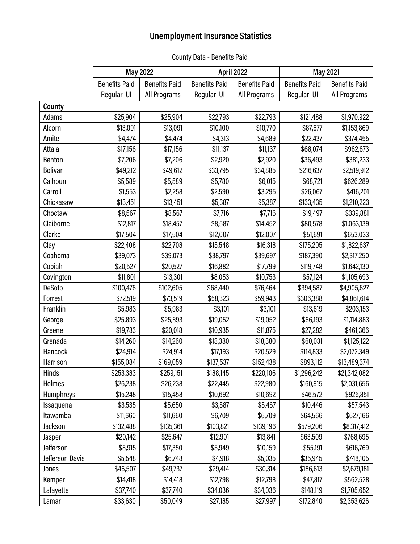# **Unemployment Insurance Statistics**

|                 | <b>May 2022</b>      |                      | April 2022           |                      | <b>May 2021</b>      |                      |
|-----------------|----------------------|----------------------|----------------------|----------------------|----------------------|----------------------|
|                 | <b>Benefits Paid</b> | <b>Benefits Paid</b> | <b>Benefits Paid</b> | <b>Benefits Paid</b> | <b>Benefits Paid</b> | <b>Benefits Paid</b> |
|                 | Regular UI           | All Programs         | Regular UI           | All Programs         | Regular UI           | All Programs         |
| County          |                      |                      |                      |                      |                      |                      |
| Adams           | \$25,904             | \$25,904             | \$22,793             | \$22,793             | \$121,488            | \$1,970,922          |
| Alcorn          | \$13,091             | \$13,091             | \$10,100             | \$10,770             | \$87,677             | \$1,153,869          |
| Amite           | \$4,474              | \$4,474              | \$4,313              | \$4,689              | \$22,437             | \$374,455            |
| Attala          | \$17,156             | \$17,156             | \$11,137             | \$11,137             | \$68,074             | \$962,673            |
| Benton          | \$7,206              | \$7,206              | \$2,920              | \$2,920              | \$36,493             | \$381,233            |
| <b>Bolivar</b>  | \$49,212             | \$49,612             | \$33,795             | \$34,885             | \$216,637            | \$2,519,912          |
| Calhoun         | \$5,589              | \$5,589              | \$5,780              | \$6,015              | \$68,721             | \$626,289            |
| Carroll         | \$1,553              | \$2,258              | \$2,590              | \$3,295              | \$26,067             | \$416,201            |
| Chickasaw       | \$13,451             | \$13,451             | \$5,387              | \$5,387              | \$133,435            | \$1,210,223          |
| Choctaw         | \$8,567              | \$8,567              | \$7,716              | \$7,716              | \$19,497             | \$339,881            |
| Claiborne       | \$12,817             | \$18,457             | \$8,587              | \$14,452             | \$80,578             | \$1,063,139          |
| Clarke          | \$17,504             | \$17,504             | \$12,007             | \$12,007             | \$51,691             | \$653,033            |
| Clay            | \$22,408             | \$22,708             | \$15,548             | \$16,318             | \$175,205            | \$1,822,637          |
| Coahoma         | \$39,073             | \$39,073             | \$38,797             | \$39,697             | \$187,390            | \$2,317,250          |
| Copiah          | \$20,527             | \$20,527             | \$16,882             | \$17,799             | \$119,748            | \$1,642,130          |
| Covington       | \$11,801             | \$13,301             | \$8,053              | \$10,753             | \$57,124             | \$1,105,693          |
| DeSoto          | \$100,476            | \$102,605            | \$68,440             | \$76,464             | \$394,587            | \$4,905,627          |
| Forrest         | \$72,519             | \$73,519             | \$58,323             | \$59,943             | \$306,388            | \$4,861,614          |
| Franklin        | \$5,983              | \$5,983              | \$3,101              | \$3,101              | \$13,619             | \$203,153            |
| George          | \$25,893             | \$25,893             | \$19,052             | \$19,052             | \$66,193             | \$1,114,883          |
| Greene          | \$19,783             | \$20,018             | \$10,935             | \$11,875             | \$27,282             | \$461,366            |
| Grenada         | \$14,260             | \$14,260             | \$18,380             | \$18,380             | \$60,031             | \$1,125,122          |
| Hancock         | \$24,914             | \$24,914             | \$17,193             | \$20,529             | \$114,833            | \$2,072,349          |
| Harrison        | \$155,084            | \$169,059            | \$137,537            | \$152,438            | \$893,112            | \$13,489,374         |
| Hinds           | \$253,383            | \$259,151            | \$188,145            | \$220,106            | \$1,296,242          | \$21,342,082         |
| Holmes          | \$26,238             | \$26,238             | \$22,445             | \$22,980             | \$160,915            | \$2,031,656          |
| Humphreys       | \$15,248             | \$15,458             | \$10,692             | \$10,692             | \$46,572             | \$926,851            |
| Issaquena       | \$3,535              | \$5,650              | \$3,587              | \$5,467              | \$10,446             | \$57,543             |
| Itawamba        | \$11,660             | \$11,660             | \$6,709              | \$6,709              | \$64,566             | \$627,166            |
| Jackson         | \$132,488            | \$135,361            | \$103,821            | \$139,196            | \$579,206            | \$8,317,412          |
| Jasper          | \$20,142             | \$25,647             | \$12,901             | \$13,841             | \$63,509             | \$768,695            |
| Jefferson       | \$8,915              | \$17,350             | \$5,949              | \$10,159             | \$55,191             | \$616,769            |
| Jefferson Davis | \$5,548              | \$6,748              | \$4,918              | \$5,035              | \$35,945             | \$748,105            |
| Jones           | \$46,507             | \$49,737             | \$29,414             | \$30,314             | \$186,613            | \$2,679,181          |
| Kemper          | \$14,418             | \$14,418             | \$12,798             | \$12,798             | \$47,817             | \$562,528            |
| Lafayette       | \$37,740             | \$37,740             | \$34,036             | \$34,036             | \$148,119            | \$1,705,652          |
| Lamar           | \$33,630             | \$50,049             | \$27,185             | \$27,997             | \$172,840            | \$2,353,626          |

# County Data - Benefits Paid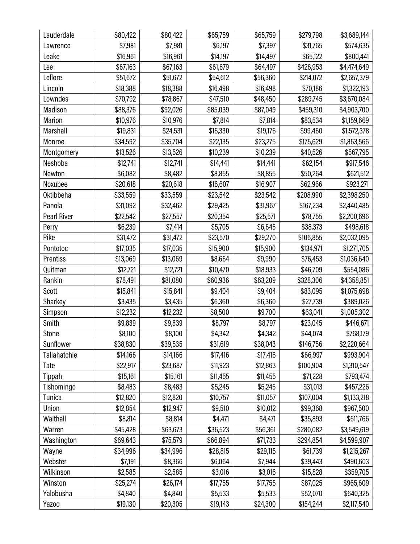| Lauderdale          | \$80,422 | \$80,422 | \$65,759 | \$65,759 | \$279,798 | \$3,689,144 |
|---------------------|----------|----------|----------|----------|-----------|-------------|
| Lawrence            | \$7,981  | \$7,981  | \$6,197  | \$7,397  | \$31,765  | \$574,635   |
| Leake               | \$16,961 | \$16,961 | \$14,197 | \$14,497 | \$65,122  | \$800,441   |
| Lee                 | \$67,163 | \$67,163 | \$61,679 | \$64,497 | \$426,953 | \$4,474,649 |
| Leflore             | \$51,672 | \$51,672 | \$54,612 | \$56,360 | \$214,072 | \$2,657,379 |
| Lincoln             | \$18,388 | \$18,388 | \$16,498 | \$16,498 | \$70,186  | \$1,322,193 |
| Lowndes             | \$70,792 | \$78,867 | \$47,510 | \$48,450 | \$289,745 | \$3,670,084 |
| Madison             | \$88,376 | \$92,026 | \$85,039 | \$87,049 | \$459,310 | \$4,903,700 |
| Marion              | \$10,976 | \$10,976 | \$7,814  | \$7,814  | \$83,534  | \$1,159,669 |
| Marshall            | \$19,831 | \$24,531 | \$15,330 | \$19,176 | \$99,460  | \$1,572,378 |
| Monroe              | \$34,592 | \$35,704 | \$22,135 | \$23,275 | \$175,629 | \$1,863,566 |
| Montgomery          | \$13,526 | \$13,526 | \$10,239 | \$10,239 | \$40,526  | \$567,795   |
| Neshoba             | \$12,741 | \$12,741 | \$14,441 | \$14,441 | \$62,154  | \$917,546   |
| Newton              | \$6,082  | \$8,482  | \$8,855  | \$8,855  | \$50,264  | \$621,512   |
| Noxubee             | \$20,618 | \$20,618 | \$16,607 | \$16,907 | \$62,966  | \$923,271   |
| Oktibbeha           | \$33,559 | \$33,559 | \$23,542 | \$23,542 | \$208,990 | \$2,398,250 |
| Panola              | \$31,092 | \$32,462 | \$29,425 | \$31,967 | \$167,234 | \$2,440,485 |
| <b>Pearl River</b>  | \$22,542 | \$27,557 | \$20,354 | \$25,571 | \$78,755  | \$2,200,696 |
| Perry               | \$6,239  | \$7,414  | \$5,705  | \$6,645  | \$38,373  | \$498,618   |
| Pike                | \$31,472 | \$31,472 | \$23,570 | \$29,270 | \$106,855 | \$2,032,095 |
| Pontotoc            | \$17,035 | \$17,035 | \$15,900 | \$15,900 | \$134,971 | \$1,271,705 |
| Prentiss            | \$13,069 | \$13,069 | \$8,664  | \$9,990  | \$76,453  | \$1,036,640 |
| Quitman             | \$12,721 | \$12,721 | \$10,470 | \$18,933 | \$46,709  | \$554,086   |
| Rankin              | \$78,491 | \$81,080 | \$60,936 | \$63,209 | \$328,306 | \$4,358,851 |
| Scott               | \$15,841 | \$15,841 | \$9,404  | \$9,404  | \$83,095  | \$1,075,698 |
| Sharkey             | \$3,435  | \$3,435  | \$6,360  | \$6,360  | \$27,739  | \$389,026   |
| Simpson             | \$12,232 | \$12,232 | \$8,500  | \$9,700  | \$63,041  | \$1,005,302 |
| Smith               | \$9,839  | \$9,839  | \$8,797  | \$8,797  | \$23,045  | \$446,671   |
| Stone               | \$8,100  | \$8,100  | \$4,342  | \$4,342  | \$44,074  | \$768,179   |
| Sunflower           | \$38,830 | \$39,535 | \$31,619 | \$38,043 | \$146,756 | \$2,220,664 |
| <b>Tallahatchie</b> | \$14,166 | \$14,166 | \$17,416 | \$17,416 | \$66,997  | \$993,904   |
| Tate                | \$22,917 | \$23,687 | \$11,923 | \$12,863 | \$100,904 | \$1,310,547 |
| Tippah              | \$15,161 | \$15,161 | \$11,455 | \$11,455 | \$71,228  | \$793,474   |
| Tishomingo          | \$8,483  | \$8,483  | \$5,245  | \$5,245  | \$31,013  | \$457,226   |
| Tunica              | \$12,820 | \$12,820 | \$10,757 | \$11,057 | \$107,004 | \$1,133,218 |
| Union               | \$12,854 | \$12,947 | \$9,510  | \$10,012 | \$99,368  | \$967,500   |
| Walthall            | \$8,814  | \$8,814  | \$4,471  | \$4,471  | \$35,893  | \$611,766   |
| Warren              | \$45,428 | \$63,673 | \$36,523 | \$56,361 | \$280,082 | \$3,549,619 |
| Washington          | \$69,643 | \$75,579 | \$66,894 | \$71,733 | \$294,854 | \$4,599,907 |
| Wayne               | \$34,996 | \$34,996 | \$28,815 | \$29,115 | \$61,739  | \$1,215,267 |
| Webster             | \$7,191  | \$8,366  | \$6,064  | \$7,944  | \$39,443  | \$490,603   |
| Wilkinson           | \$2,585  | \$2,585  | \$3,016  | \$3,016  | \$15,828  | \$359,705   |
| Winston             | \$25,274 | \$26,174 | \$17,755 | \$17,755 | \$87,025  | \$965,609   |
| Yalobusha           | \$4,840  | \$4,840  | \$5,533  | \$5,533  | \$52,070  | \$640,325   |
| Yazoo               | \$19,130 | \$20,305 | \$19,143 | \$24,300 | \$154,244 | \$2,117,540 |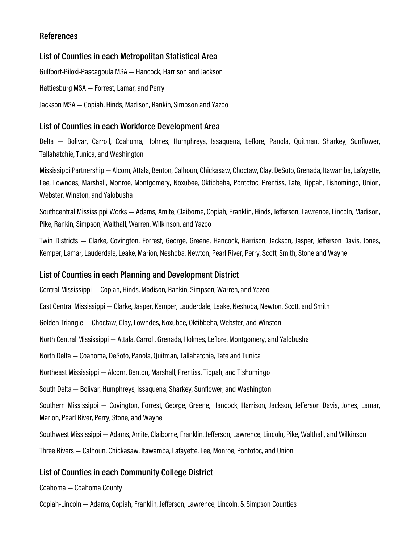### **References**

### **List of Counties in each Metropolitan Statistical Area**

Gulfport-Biloxi-Pascagoula MSA — Hancock, Harrison and Jackson

Hattiesburg MSA — Forrest, Lamar, and Perry

Jackson MSA — Copiah, Hinds, Madison, Rankin, Simpson and Yazoo

### **List of Counties in each Workforce Development Area**

Delta — Bolivar, Carroll, Coahoma, Holmes, Humphreys, Issaquena, Leflore, Panola, Quitman, Sharkey, Sunflower, Tallahatchie, Tunica, and Washington

Mississippi Partnership — Alcorn, Attala, Benton, Calhoun, Chickasaw, Choctaw, Clay, DeSoto, Grenada, Itawamba, Lafayette, Lee, Lowndes, Marshall, Monroe, Montgomery, Noxubee, Oktibbeha, Pontotoc, Prentiss, Tate, Tippah, Tishomingo, Union, Webster, Winston, and Yalobusha

Southcentral Mississippi Works — Adams, Amite, Claiborne, Copiah, Franklin, Hinds, Jefferson, Lawrence, Lincoln, Madison, Pike, Rankin, Simpson, Walthall, Warren, Wilkinson, and Yazoo

Twin Districts — Clarke, Covington, Forrest, George, Greene, Hancock, Harrison, Jackson, Jasper, Jefferson Davis, Jones, Kemper, Lamar, Lauderdale, Leake, Marion, Neshoba, Newton, Pearl River, Perry, Scott, Smith, Stone and Wayne

### **List of Counties in each Planning and Development District**

Central Mississippi — Copiah, Hinds, Madison, Rankin, Simpson, Warren, and Yazoo

East Central Mississippi — Clarke, Jasper, Kemper, Lauderdale, Leake, Neshoba, Newton, Scott, and Smith

Golden Triangle — Choctaw, Clay, Lowndes, Noxubee, Oktibbeha, Webster, and Winston

North Central Mississippi — Attala, Carroll, Grenada, Holmes, Leflore, Montgomery, and Yalobusha

North Delta — Coahoma, DeSoto, Panola, Quitman, Tallahatchie, Tate and Tunica

Northeast Mississippi — Alcorn, Benton, Marshall, Prentiss, Tippah, and Tishomingo

South Delta — Bolivar, Humphreys, Issaquena, Sharkey, Sunflower, and Washington

Southern Mississippi — Covington, Forrest, George, Greene, Hancock, Harrison, Jackson, Jefferson Davis, Jones, Lamar, Marion, Pearl River, Perry, Stone, and Wayne

Southwest Mississippi — Adams, Amite, Claiborne, Franklin, Jefferson, Lawrence, Lincoln, Pike, Walthall, and Wilkinson

Three Rivers — Calhoun, Chickasaw, Itawamba, Lafayette, Lee, Monroe, Pontotoc, and Union

### **List of Counties in each Community College District**

Coahoma — Coahoma County

Copiah-Lincoln — Adams, Copiah, Franklin, Jefferson, Lawrence, Lincoln, & Simpson Counties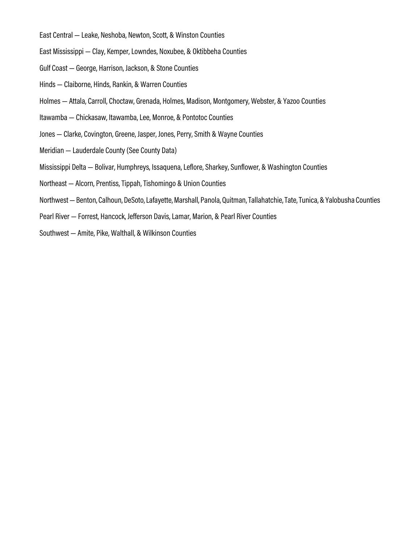- East Central Leake, Neshoba, Newton, Scott, & Winston Counties
- East Mississippi Clay, Kemper, Lowndes, Noxubee, & Oktibbeha Counties
- Gulf Coast George, Harrison, Jackson, & Stone Counties
- Hinds Claiborne, Hinds, Rankin, & Warren Counties
- Holmes Attala, Carroll, Choctaw, Grenada, Holmes, Madison, Montgomery, Webster, & Yazoo Counties
- Itawamba Chickasaw, Itawamba, Lee, Monroe, & Pontotoc Counties
- Jones Clarke, Covington, Greene, Jasper, Jones, Perry, Smith & Wayne Counties
- Meridian Lauderdale County (See County Data)
- Mississippi Delta Bolivar, Humphreys, Issaquena, Leflore, Sharkey, Sunflower, & Washington Counties
- Northeast Alcorn, Prentiss, Tippah, Tishomingo & Union Counties
- Northwest Benton, Calhoun, DeSoto, Lafayette, Marshall, Panola, Quitman, Tallahatchie, Tate, Tunica, & Yalobusha Counties
- Pearl River Forrest, Hancock, Jefferson Davis, Lamar, Marion, & Pearl River Counties
- Southwest Amite, Pike, Walthall, & Wilkinson Counties